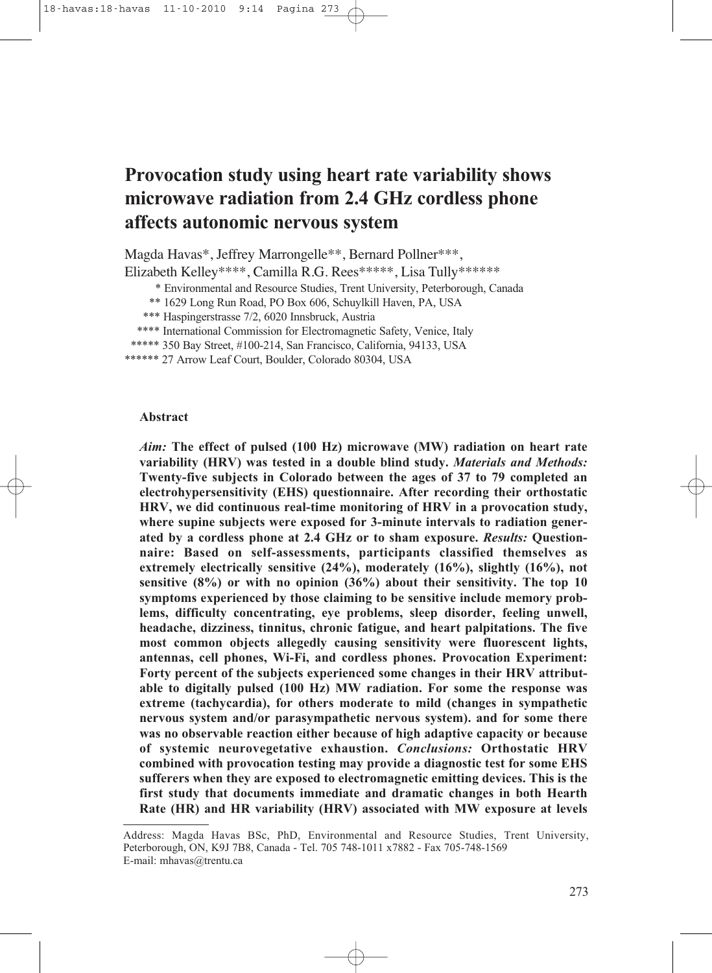# **Provocation study using heart rate variability shows microwave radiation from 2.4 GHz cordless phone affects autonomic nervous system**

Magda Havas\*, Jeffrey Marrongelle\*\*, Bernard Pollner\*\*\*,

Elizabeth Kelley\*\*\*\*, Camilla R.G. Rees\*\*\*\*\*, Lisa Tully\*\*\*\*\*\*

\* Environmental and Resource Studies, Trent University, Peterborough, Canada

\*\* 1629 Long Run Road, PO Box 606, Schuylkill Haven, PA, USA

\*\*\* Haspingerstrasse 7/2, 6020 Innsbruck, Austria

\*\*\*\* International Commission for Electromagnetic Safety, Venice, Italy

\*\*\*\*\* 350 Bay Street, #100-214, San Francisco, California, 94133, USA

\*\*\*\*\*\* 27 Arrow Leaf Court, Boulder, Colorado 80304, USA

#### **Abstract**

*Aim:* **The effect of pulsed (100 Hz) microwave (MW) radiation on heart rate variability (HRV) was tested in a double blind study.** *Materials and Methods:* **Twenty-five subjects in Colorado between the ages of 37 to 79 completed an electrohypersensitivity (EHS) questionnaire. After recording their orthostatic HRV, we did continuous real-time monitoring of HRV in a provocation study, where supine subjects were exposed for 3-minute intervals to radiation generated by a cordless phone at 2.4 GHz or to sham exposure.** *Results:* **Questionnaire: Based on self-assessments, participants classified themselves as extremely electrically sensitive (24%), moderately (16%), slightly (16%), not sensitive (8%) or with no opinion (36%) about their sensitivity. The top 10 symptoms experienced by those claiming to be sensitive include memory problems, difficulty concentrating, eye problems, sleep disorder, feeling unwell, headache, dizziness, tinnitus, chronic fatigue, and heart palpitations. The five most common objects allegedly causing sensitivity were fluorescent lights, antennas, cell phones, Wi-Fi, and cordless phones. Provocation Experiment: Forty percent of the subjects experienced some changes in their HRV attributable to digitally pulsed (100 Hz) MW radiation. For some the response was extreme (tachycardia), for others moderate to mild (changes in sympathetic nervous system and/or parasympathetic nervous system). and for some there was no observable reaction either because of high adaptive capacity or because of systemic neurovegetative exhaustion.** *Conclusions:* **Orthostatic HRV combined with provocation testing may provide a diagnostic test for some EHS sufferers when they are exposed to electromagnetic emitting devices. This is the first study that documents immediate and dramatic changes in both Hearth Rate (HR) and HR variability (HRV) associated with MW exposure at levels**

Address: Magda Havas BSc, PhD, Environmental and Resource Studies, Trent University, Peterborough, ON, K9J 7B8, Canada - Tel. 705 748-1011 x7882 - Fax 705-748-1569 E-mail: mhavas@trentu.ca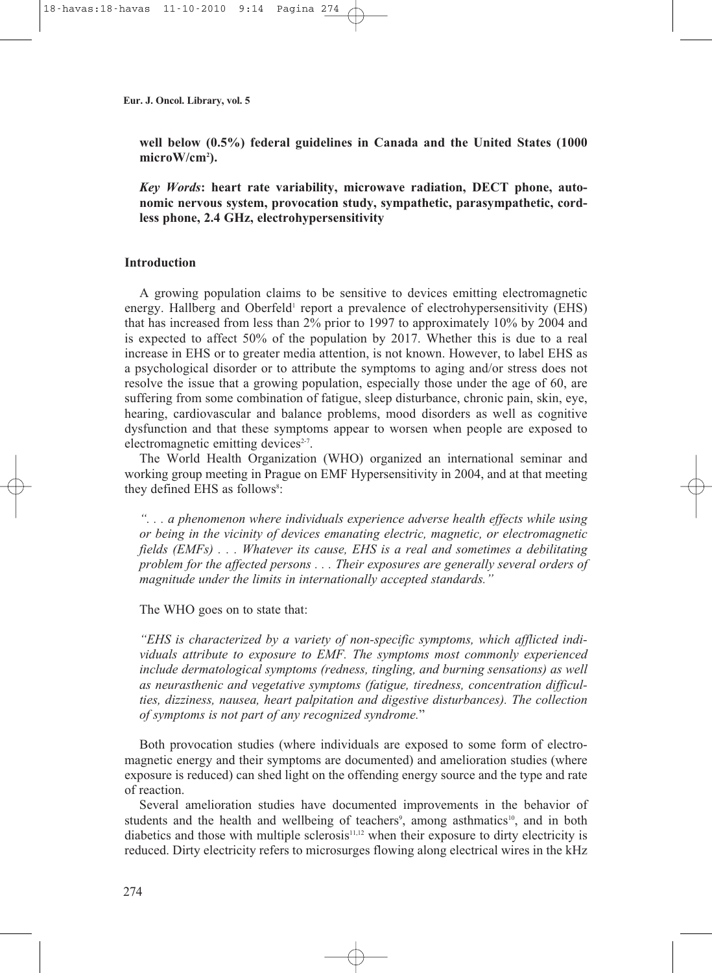**well below (0.5%) federal guidelines in Canada and the United States (1000 microW/cm2 ).**

*Key Words***: heart rate variability, microwave radiation, DECT phone, autonomic nervous system, provocation study, sympathetic, parasympathetic, cordless phone, 2.4 GHz, electrohypersensitivity**

# **Introduction**

A growing population claims to be sensitive to devices emitting electromagnetic energy. Hallberg and Oberfeld<sup>1</sup> report a prevalence of electrohypersensitivity (EHS) that has increased from less than 2% prior to 1997 to approximately 10% by 2004 and is expected to affect 50% of the population by 2017. Whether this is due to a real increase in EHS or to greater media attention, is not known. However, to label EHS as a psychological disorder or to attribute the symptoms to aging and/or stress does not resolve the issue that a growing population, especially those under the age of 60, are suffering from some combination of fatigue, sleep disturbance, chronic pain, skin, eye, hearing, cardiovascular and balance problems, mood disorders as well as cognitive dysfunction and that these symptoms appear to worsen when people are exposed to electromagnetic emitting devices<sup>2-7</sup>.

The World Health Organization (WHO) organized an international seminar and working group meeting in Prague on EMF Hypersensitivity in 2004, and at that meeting they defined EHS as follows<sup>8</sup>:

*". . . a phenomenon where individuals experience adverse health effects while using or being in the vicinity of devices emanating electric, magnetic, or electromagnetic fields (EMFs) . . . Whatever its cause, EHS is a real and sometimes a debilitating problem for the affected persons . . . Their exposures are generally several orders of magnitude under the limits in internationally accepted standards."*

The WHO goes on to state that:

*"EHS is characterized by a variety of non-specific symptoms, which afflicted individuals attribute to exposure to EMF. The symptoms most commonly experienced include dermatological symptoms (redness, tingling, and burning sensations) as well as neurasthenic and vegetative symptoms (fatigue, tiredness, concentration difficulties, dizziness, nausea, heart palpitation and digestive disturbances). The collection of symptoms is not part of any recognized syndrome.*"

Both provocation studies (where individuals are exposed to some form of electromagnetic energy and their symptoms are documented) and amelioration studies (where exposure is reduced) can shed light on the offending energy source and the type and rate of reaction.

Several amelioration studies have documented improvements in the behavior of students and the health and wellbeing of teachers<sup>9</sup>, among asthmatics<sup>10</sup>, and in both diabetics and those with multiple sclerosis<sup>11,12</sup> when their exposure to dirty electricity is reduced. Dirty electricity refers to microsurges flowing along electrical wires in the kHz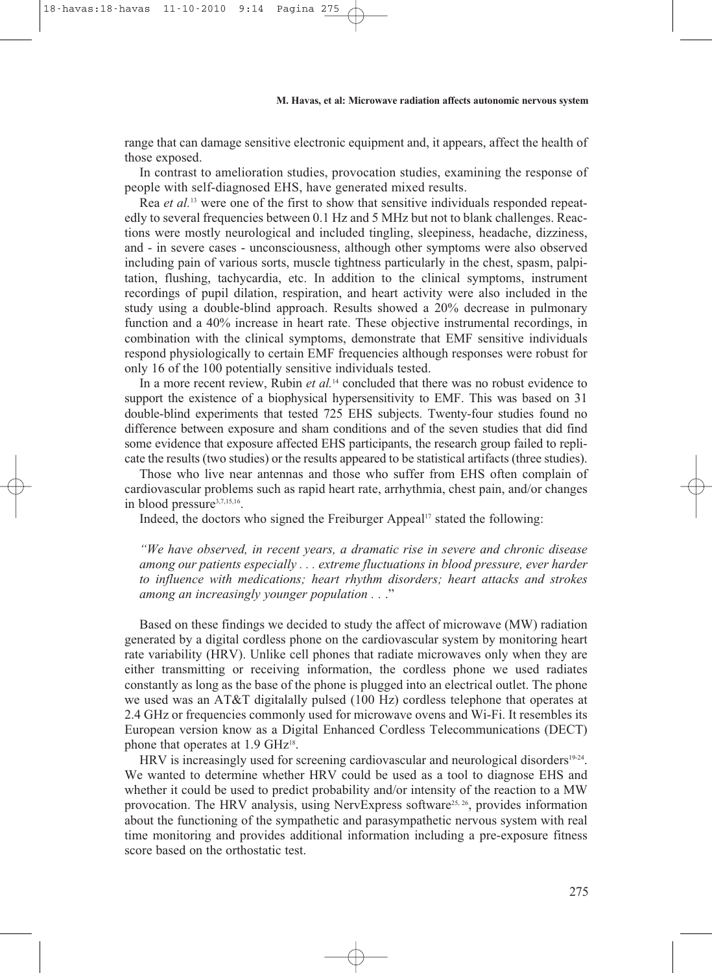range that can damage sensitive electronic equipment and, it appears, affect the health of those exposed.

In contrast to amelioration studies, provocation studies, examining the response of people with self-diagnosed EHS, have generated mixed results.

Rea *et al.* <sup>13</sup> were one of the first to show that sensitive individuals responded repeatedly to several frequencies between 0.1 Hz and 5 MHz but not to blank challenges. Reactions were mostly neurological and included tingling, sleepiness, headache, dizziness, and - in severe cases - unconsciousness, although other symptoms were also observed including pain of various sorts, muscle tightness particularly in the chest, spasm, palpitation, flushing, tachycardia, etc. In addition to the clinical symptoms, instrument recordings of pupil dilation, respiration, and heart activity were also included in the study using a double-blind approach. Results showed a 20% decrease in pulmonary function and a 40% increase in heart rate. These objective instrumental recordings, in combination with the clinical symptoms, demonstrate that EMF sensitive individuals respond physiologically to certain EMF frequencies although responses were robust for only 16 of the 100 potentially sensitive individuals tested.

In a more recent review, Rubin *et al.* <sup>14</sup> concluded that there was no robust evidence to support the existence of a biophysical hypersensitivity to EMF. This was based on 31 double-blind experiments that tested 725 EHS subjects. Twenty-four studies found no difference between exposure and sham conditions and of the seven studies that did find some evidence that exposure affected EHS participants, the research group failed to replicate the results (two studies) or the results appeared to be statistical artifacts (three studies).

Those who live near antennas and those who suffer from EHS often complain of cardiovascular problems such as rapid heart rate, arrhythmia, chest pain, and/or changes in blood pressure<sup>3,7,15,16</sup>.

Indeed, the doctors who signed the Freiburger Appeal<sup>17</sup> stated the following:

*"We have observed, in recent years, a dramatic rise in severe and chronic disease among our patients especially . . . extreme fluctuations in blood pressure, ever harder to influence with medications; heart rhythm disorders; heart attacks and strokes among an increasingly younger population . .* ."

Based on these findings we decided to study the affect of microwave (MW) radiation generated by a digital cordless phone on the cardiovascular system by monitoring heart rate variability (HRV). Unlike cell phones that radiate microwaves only when they are either transmitting or receiving information, the cordless phone we used radiates constantly as long as the base of the phone is plugged into an electrical outlet. The phone we used was an AT&T digitalally pulsed (100 Hz) cordless telephone that operates at 2.4 GHz or frequencies commonly used for microwave ovens and Wi-Fi. It resembles its European version know as a Digital Enhanced Cordless Telecommunications (DECT) phone that operates at 1.9 GHz<sup>18</sup>.

HRV is increasingly used for screening cardiovascular and neurological disorders<sup>19-24</sup>. We wanted to determine whether HRV could be used as a tool to diagnose EHS and whether it could be used to predict probability and/or intensity of the reaction to a MW provocation. The HRV analysis, using NervExpress software<sup>25, 26</sup>, provides information about the functioning of the sympathetic and parasympathetic nervous system with real time monitoring and provides additional information including a pre-exposure fitness score based on the orthostatic test.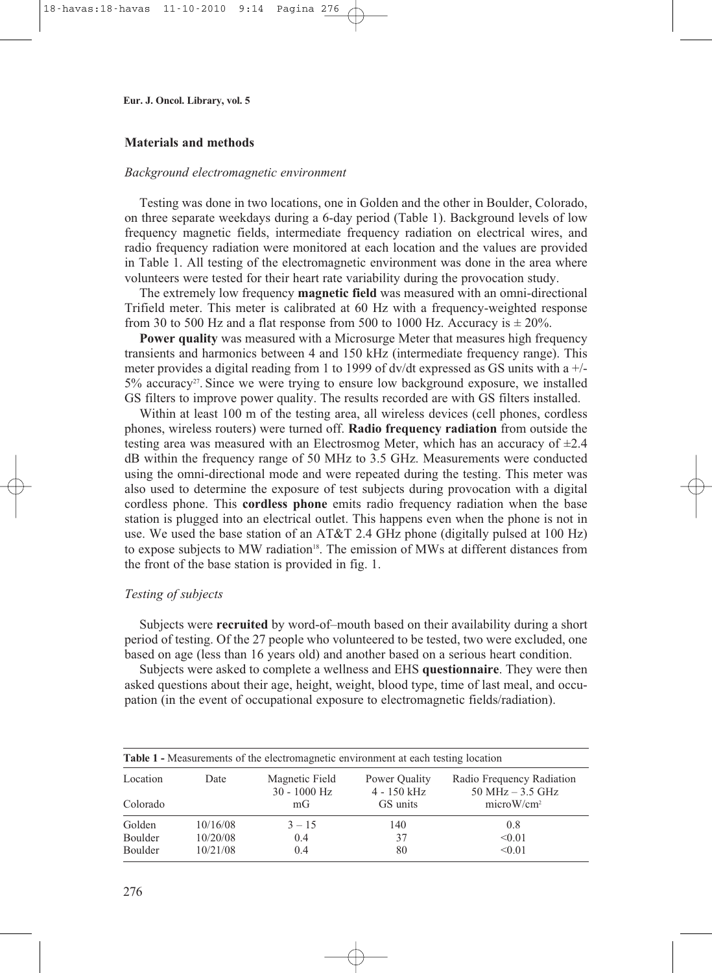# **Materials and methods**

## *Background electromagnetic environment*

Testing was done in two locations, one in Golden and the other in Boulder, Colorado, on three separate weekdays during a 6-day period (Table 1). Background levels of low frequency magnetic fields, intermediate frequency radiation on electrical wires, and radio frequency radiation were monitored at each location and the values are provided in Table 1. All testing of the electromagnetic environment was done in the area where volunteers were tested for their heart rate variability during the provocation study.

The extremely low frequency **magnetic field** was measured with an omni-directional Trifield meter. This meter is calibrated at 60 Hz with a frequency-weighted response from 30 to 500 Hz and a flat response from 500 to 1000 Hz. Accuracy is  $\pm$  20%.

**Power quality** was measured with a Microsurge Meter that measures high frequency transients and harmonics between 4 and 150 kHz (intermediate frequency range). This meter provides a digital reading from 1 to 1999 of dv/dt expressed as GS units with a  $+/ 5\%$  accuracy<sup>27</sup>. Since we were trying to ensure low background exposure, we installed GS filters to improve power quality. The results recorded are with GS filters installed.

Within at least 100 m of the testing area, all wireless devices (cell phones, cordless phones, wireless routers) were turned off. **Radio frequency radiation** from outside the testing area was measured with an Electrosmog Meter, which has an accuracy of  $\pm 2.4$ dB within the frequency range of 50 MHz to 3.5 GHz. Measurements were conducted using the omni-directional mode and were repeated during the testing. This meter was also used to determine the exposure of test subjects during provocation with a digital cordless phone. This **cordless phone** emits radio frequency radiation when the base station is plugged into an electrical outlet. This happens even when the phone is not in use. We used the base station of an AT&T 2.4 GHz phone (digitally pulsed at 100 Hz) to expose subjects to MW radiation<sup>18</sup>. The emission of MWs at different distances from the front of the base station is provided in fig. 1.

## *Testing of subjects*

Subjects were **recruited** by word-of–mouth based on their availability during a short period of testing. Of the 27 people who volunteered to be tested, two were excluded, one based on age (less than 16 years old) and another based on a serious heart condition.

Subjects were asked to complete a wellness and EHS **questionnaire**. They were then asked questions about their age, height, weight, blood type, time of last meal, and occupation (in the event of occupational exposure to electromagnetic fields/radiation).

| <b>Table 1 -</b> Measurements of the electromagnetic environment at each testing location |          |                                  |                                |                                                  |  |  |  |  |  |  |
|-------------------------------------------------------------------------------------------|----------|----------------------------------|--------------------------------|--------------------------------------------------|--|--|--|--|--|--|
| Location                                                                                  | Date     | Magnetic Field<br>$30 - 1000$ Hz | Power Quality<br>$4 - 150$ kHz | Radio Frequency Radiation<br>$50$ MHz $-3.5$ GHz |  |  |  |  |  |  |
| Colorado                                                                                  |          | mG                               | GS units                       | microW/cm <sup>2</sup>                           |  |  |  |  |  |  |
| Golden                                                                                    | 10/16/08 | $3 - 15$                         | 140                            | 0.8                                              |  |  |  |  |  |  |
| Boulder                                                                                   | 10/20/08 | 0.4                              | 37                             | < 0.01                                           |  |  |  |  |  |  |
| Boulder                                                                                   | 10/21/08 | 0.4                              | 80                             | < 0.01                                           |  |  |  |  |  |  |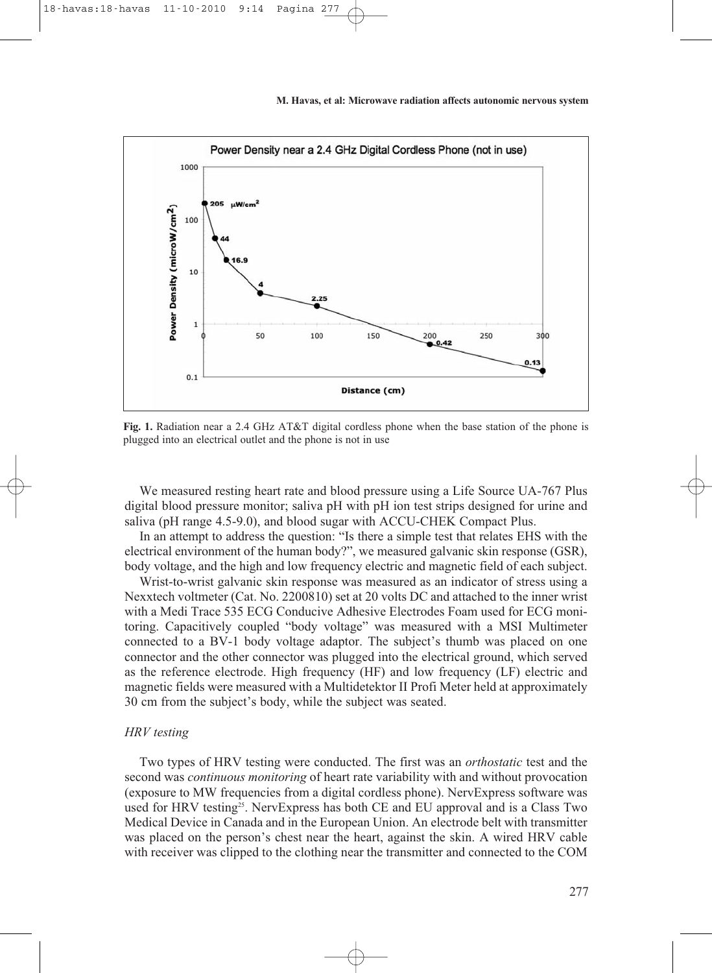

**Fig. 1.** Radiation near a 2.4 GHz AT&T digital cordless phone when the base station of the phone is plugged into an electrical outlet and the phone is not in use

We measured resting heart rate and blood pressure using a Life Source UA-767 Plus digital blood pressure monitor; saliva pH with pH ion test strips designed for urine and saliva (pH range 4.5-9.0), and blood sugar with ACCU-CHEK Compact Plus.

In an attempt to address the question: "Is there a simple test that relates EHS with the electrical environment of the human body?", we measured galvanic skin response (GSR), body voltage, and the high and low frequency electric and magnetic field of each subject.

Wrist-to-wrist galvanic skin response was measured as an indicator of stress using a Nexxtech voltmeter (Cat. No. 2200810) set at 20 volts DC and attached to the inner wrist with a Medi Trace 535 ECG Conducive Adhesive Electrodes Foam used for ECG monitoring. Capacitively coupled "body voltage" was measured with a MSI Multimeter connected to a BV-1 body voltage adaptor. The subject's thumb was placed on one connector and the other connector was plugged into the electrical ground, which served as the reference electrode. High frequency (HF) and low frequency (LF) electric and magnetic fields were measured with a Multidetektor II Profi Meter held at approximately 30 cm from the subject's body, while the subject was seated.

## *HRV testing*

Two types of HRV testing were conducted. The first was an *orthostatic* test and the second was *continuous monitoring* of heart rate variability with and without provocation (exposure to MW frequencies from a digital cordless phone). NervExpress software was used for HRV testing<sup>25</sup>. NervExpress has both CE and EU approval and is a Class Two Medical Device in Canada and in the European Union. An electrode belt with transmitter was placed on the person's chest near the heart, against the skin. A wired HRV cable with receiver was clipped to the clothing near the transmitter and connected to the COM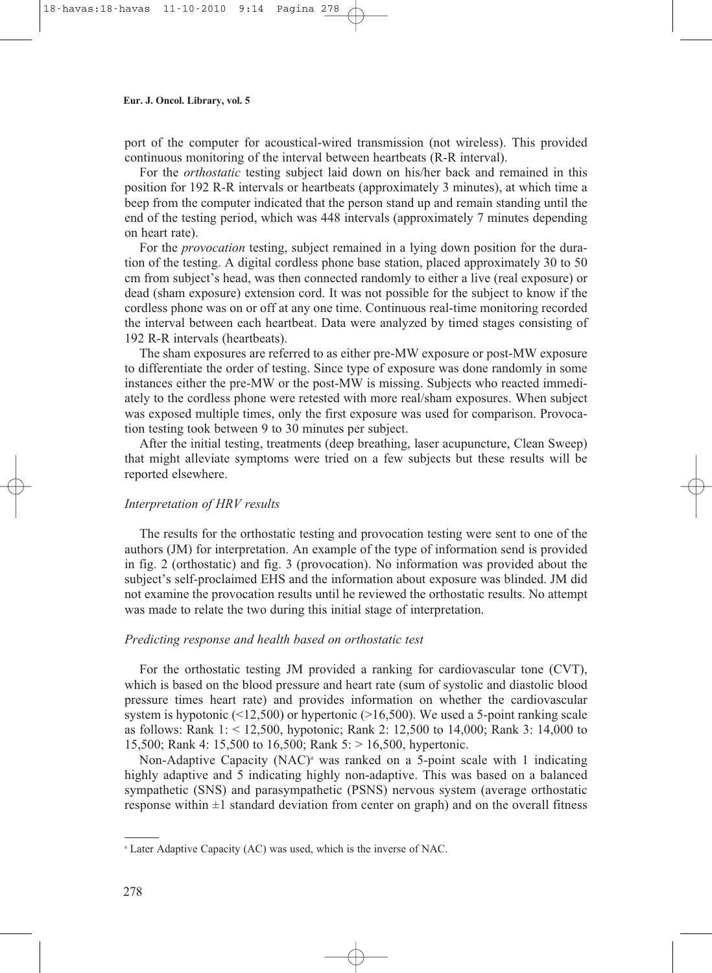port of the computer for acoustical-wired transmission (not wireless). This provided continuous monitoring of the interval between heartbeats (R-R interval).

For the *orthostatic* testing subject laid down on his/her back and remained in this position for 192 R-R intervals or heartbeats (approximately 3 minutes), at which time a beep from the computer indicated that the person stand up and remain standing until the end of the testing period, which was 448 intervals (approximately 7 minutes depending on heart rate).

For the *provocation* testing, subject remained in a lying down position for the duration of the testing. A digital cordless phone base station, placed approximately 30 to 50 cm from subject's head, was then connected randomly to either a live (real exposure) or dead (sham exposure) extension cord. It was not possible for the subject to know if the cordless phone was on or off at any one time. Continuous real-time monitoring recorded the interval between each heartbeat. Data were analyzed by timed stages consisting of 192 R-R intervals (heartbeats).

The sham exposures are referred to as either pre-MW exposure or post-MW exposure to differentiate the order of testing. Since type of exposure was done randomly in some instances either the pre-MW or the post-MW is missing. Subjects who reacted immediately to the cordless phone were retested with more real/sham exposures. When subject was exposed multiple times, only the first exposure was used for comparison. Provocation testing took between 9 to 30 minutes per subject.

After the initial testing, treatments (deep breathing, laser acupuncture, Clean Sweep) that might alleviate symptoms were tried on a few subjects but these results will be reported elsewhere.

## *Interpretation of HRV results*

The results for the orthostatic testing and provocation testing were sent to one of the authors (JM) for interpretation. An example of the type of information send is provided in fig. 2 (orthostatic) and fig. 3 (provocation). No information was provided about the subject's self-proclaimed EHS and the information about exposure was blinded. JM did not examine the provocation results until he reviewed the orthostatic results. No attempt was made to relate the two during this initial stage of interpretation.

#### *Predicting response and health based on orthostatic test*

For the orthostatic testing JM provided a ranking for cardiovascular tone (CVT), which is based on the blood pressure and heart rate (sum of systolic and diastolic blood pressure times heart rate) and provides information on whether the cardiovascular system is hypotonic  $(\leq 12,500)$  or hypertonic  $(\geq 16,500)$ . We used a 5-point ranking scale as follows: Rank 1: < 12,500, hypotonic; Rank 2: 12,500 to 14,000; Rank 3: 14,000 to 15,500; Rank 4: 15,500 to 16,500; Rank 5: > 16,500, hypertonic.

Non-Adaptive Capacity (NAC)<sup>a</sup> was ranked on a 5-point scale with 1 indicating highly adaptive and 5 indicating highly non-adaptive. This was based on a balanced sympathetic (SNS) and parasympathetic (PSNS) nervous system (average orthostatic response within  $\pm 1$  standard deviation from center on graph) and on the overall fitness

<sup>a</sup> Later Adaptive Capacity (AC) was used, which is the inverse of NAC.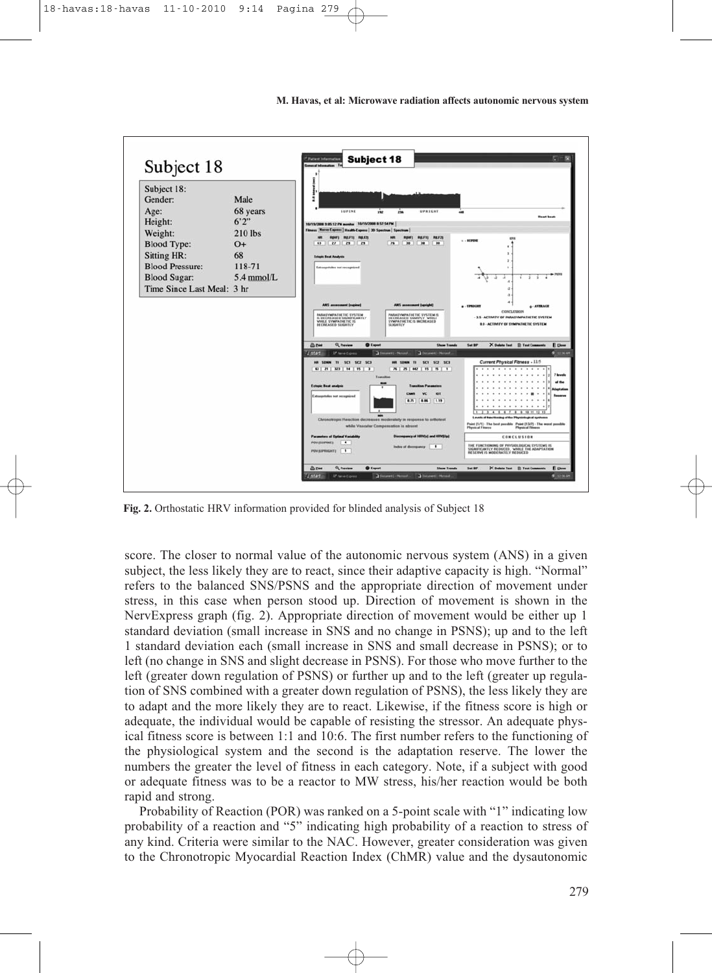

**Fig. 2.** Orthostatic HRV information provided for blinded analysis of Subject 18

score. The closer to normal value of the autonomic nervous system (ANS) in a given subject, the less likely they are to react, since their adaptive capacity is high. "Normal" refers to the balanced SNS/PSNS and the appropriate direction of movement under stress, in this case when person stood up. Direction of movement is shown in the NervExpress graph (fig. 2). Appropriate direction of movement would be either up 1 standard deviation (small increase in SNS and no change in PSNS); up and to the left 1 standard deviation each (small increase in SNS and small decrease in PSNS); or to left (no change in SNS and slight decrease in PSNS). For those who move further to the left (greater down regulation of PSNS) or further up and to the left (greater up regulation of SNS combined with a greater down regulation of PSNS), the less likely they are to adapt and the more likely they are to react. Likewise, if the fitness score is high or adequate, the individual would be capable of resisting the stressor. An adequate physical fitness score is between 1:1 and 10:6. The first number refers to the functioning of the physiological system and the second is the adaptation reserve. The lower the numbers the greater the level of fitness in each category. Note, if a subject with good or adequate fitness was to be a reactor to MW stress, his/her reaction would be both rapid and strong.

Probability of Reaction (POR) was ranked on a 5-point scale with "1" indicating low probability of a reaction and "5" indicating high probability of a reaction to stress of any kind. Criteria were similar to the NAC. However, greater consideration was given to the Chronotropic Myocardial Reaction Index (ChMR) value and the dysautonomic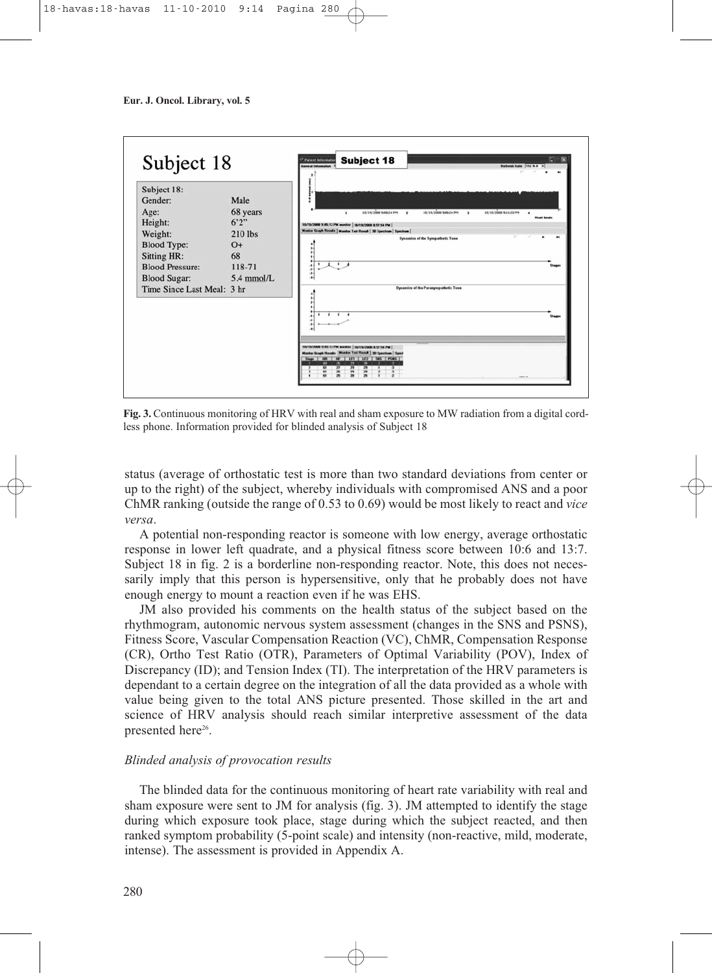

**Fig. 3.** Continuous monitoring of HRV with real and sham exposure to MW radiation from a digital cordless phone. Information provided for blinded analysis of Subject 18

status (average of orthostatic test is more than two standard deviations from center or up to the right) of the subject, whereby individuals with compromised ANS and a poor ChMR ranking (outside the range of 0.53 to 0.69) would be most likely to react and *vice versa*.

A potential non-responding reactor is someone with low energy, average orthostatic response in lower left quadrate, and a physical fitness score between 10:6 and 13:7. Subject 18 in fig. 2 is a borderline non-responding reactor. Note, this does not necessarily imply that this person is hypersensitive, only that he probably does not have enough energy to mount a reaction even if he was EHS.

JM also provided his comments on the health status of the subject based on the rhythmogram, autonomic nervous system assessment (changes in the SNS and PSNS), Fitness Score, Vascular Compensation Reaction (VC), ChMR, Compensation Response (CR), Ortho Test Ratio (OTR), Parameters of Optimal Variability (POV), Index of Discrepancy (ID); and Tension Index (TI). The interpretation of the HRV parameters is dependant to a certain degree on the integration of all the data provided as a whole with value being given to the total ANS picture presented. Those skilled in the art and science of HRV analysis should reach similar interpretive assessment of the data presented here<sup>26</sup>.

# *Blinded analysis of provocation results*

The blinded data for the continuous monitoring of heart rate variability with real and sham exposure were sent to JM for analysis (fig. 3). JM attempted to identify the stage during which exposure took place, stage during which the subject reacted, and then ranked symptom probability (5-point scale) and intensity (non-reactive, mild, moderate, intense). The assessment is provided in Appendix A.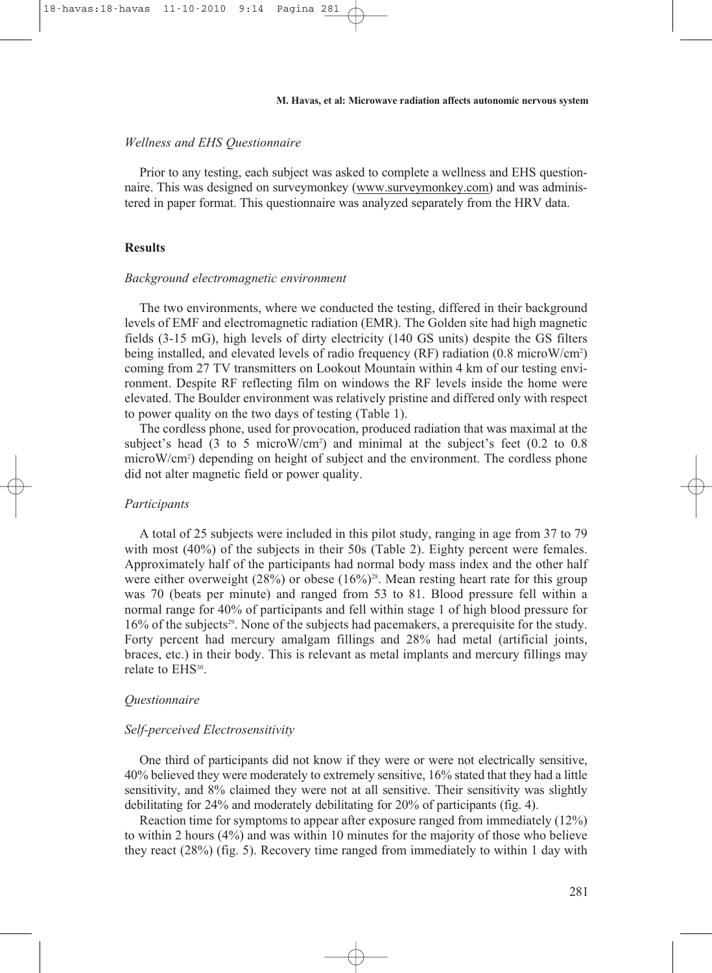#### *Wellness and EHS Questionnaire*

Prior to any testing, each subject was asked to complete a wellness and EHS questionnaire. This was designed on surveymonkey (www.surveymonkey.com) and was administered in paper format. This questionnaire was analyzed separately from the HRV data.

## **Results**

#### *Background electromagnetic environment*

The two environments, where we conducted the testing, differed in their background levels of EMF and electromagnetic radiation (EMR). The Golden site had high magnetic fields (3-15 mG), high levels of dirty electricity (140 GS units) despite the GS filters being installed, and elevated levels of radio frequency (RF) radiation (0.8 microW/cm<sup>2</sup>) coming from 27 TV transmitters on Lookout Mountain within 4 km of our testing environment. Despite RF reflecting film on windows the RF levels inside the home were elevated. The Boulder environment was relatively pristine and differed only with respect to power quality on the two days of testing (Table 1).

The cordless phone, used for provocation, produced radiation that was maximal at the subject's head (3 to 5 microW/cm<sup>2</sup>) and minimal at the subject's feet (0.2 to 0.8 microW/cm2 ) depending on height of subject and the environment. The cordless phone did not alter magnetic field or power quality.

#### *Participants*

A total of 25 subjects were included in this pilot study, ranging in age from 37 to 79 with most (40%) of the subjects in their 50s (Table 2). Eighty percent were females. Approximately half of the participants had normal body mass index and the other half were either overweight (28%) or obese (16%)<sup>28</sup>. Mean resting heart rate for this group was 70 (beats per minute) and ranged from 53 to 81. Blood pressure fell within a normal range for 40% of participants and fell within stage 1 of high blood pressure for 16% of the subjects<sup>29</sup>. None of the subjects had pacemakers, a prerequisite for the study. Forty percent had mercury amalgam fillings and 28% had metal (artificial joints, braces, etc.) in their body. This is relevant as metal implants and mercury fillings may relate to EHS<sup>30</sup>.

#### *Questionnaire*

#### *Self-perceived Electrosensitivity*

One third of participants did not know if they were or were not electrically sensitive, 40% believed they were moderately to extremely sensitive, 16% stated that they had a little sensitivity, and 8% claimed they were not at all sensitive. Their sensitivity was slightly debilitating for 24% and moderately debilitating for 20% of participants (fig. 4).

Reaction time for symptoms to appear after exposure ranged from immediately (12%) to within 2 hours (4%) and was within 10 minutes for the majority of those who believe they react (28%) (fig. 5). Recovery time ranged from immediately to within 1 day with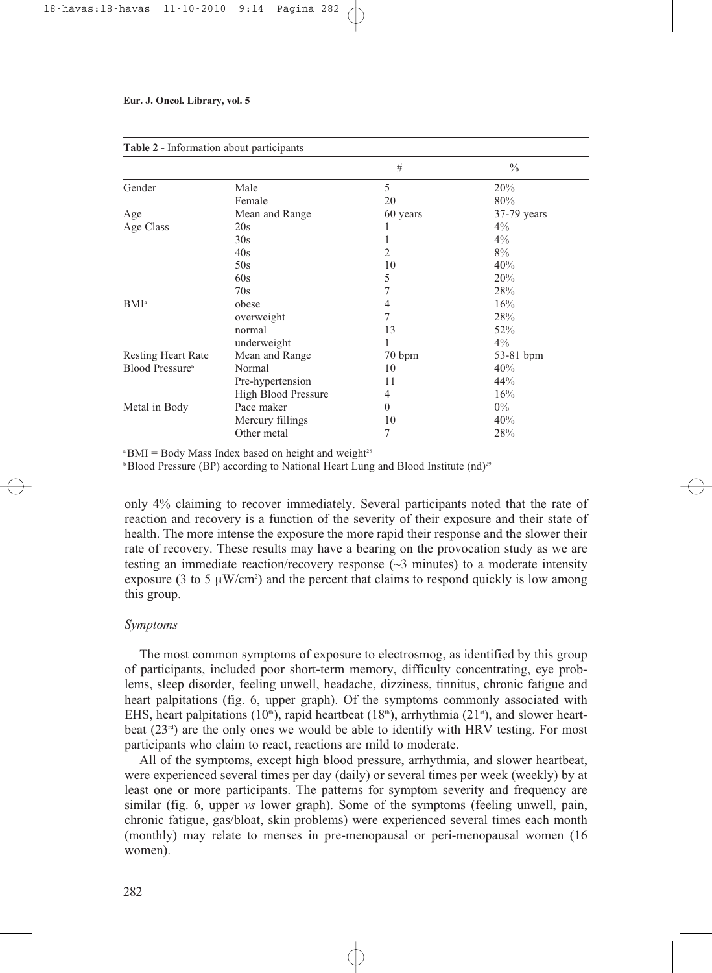|                             |                     | #              | $\frac{0}{0}$ |
|-----------------------------|---------------------|----------------|---------------|
| Gender                      | Male                | 5              | 20%           |
|                             | Female              | 20             | 80%           |
| Age                         | Mean and Range      | 60 years       | $37-79$ years |
| Age Class                   | 20s                 | 1              | $4\%$         |
|                             | 30s                 | 1              | $4\%$         |
|                             | 40s                 | $\overline{2}$ | 8%            |
|                             | 50s                 | 10             | 40%           |
|                             | 60s                 | 5              | 20%           |
|                             | 70s                 | 7              | 28%           |
| $BMI^a$                     | obese               | 4              | 16%           |
|                             | overweight          | 7              | 28%           |
|                             | normal              | 13             | 52%           |
|                             | underweight         | 1              | $4\%$         |
| Resting Heart Rate          | Mean and Range      | 70 bpm         | $53-81$ bpm   |
| Blood Pressure <sup>b</sup> | Normal              | 10             | 40%           |
|                             | Pre-hypertension    | 11             | 44%           |
|                             | High Blood Pressure | 4              | 16%           |
| Metal in Body               | Pace maker          | $\theta$       | $0\%$         |
|                             | Mercury fillings    | 10             | 40%           |
|                             | Other metal         | 7              | 28%           |

**Table 2 -** Information about participants

 $a<sup>a</sup>BMI = Body Mass Index based on height and weight<sup>28</sup>$ 

<sup>b</sup>Blood Pressure (BP) according to National Heart Lung and Blood Institute (nd)<sup>29</sup>

only 4% claiming to recover immediately. Several participants noted that the rate of reaction and recovery is a function of the severity of their exposure and their state of health. The more intense the exposure the more rapid their response and the slower their rate of recovery. These results may have a bearing on the provocation study as we are testing an immediate reaction/recovery response  $(\sim 3$  minutes) to a moderate intensity exposure (3 to 5  $\mu$ W/cm<sup>2</sup>) and the percent that claims to respond quickly is low among this group.

### *Symptoms*

The most common symptoms of exposure to electrosmog, as identified by this group of participants, included poor short-term memory, difficulty concentrating, eye problems, sleep disorder, feeling unwell, headache, dizziness, tinnitus, chronic fatigue and heart palpitations (fig. 6, upper graph). Of the symptoms commonly associated with EHS, heart palpitations (10<sup>th</sup>), rapid heartbeat (18<sup>th</sup>), arrhythmia (21<sup>st</sup>), and slower heartbeat  $(23<sup>rd</sup>)$  are the only ones we would be able to identify with HRV testing. For most participants who claim to react, reactions are mild to moderate.

All of the symptoms, except high blood pressure, arrhythmia, and slower heartbeat, were experienced several times per day (daily) or several times per week (weekly) by at least one or more participants. The patterns for symptom severity and frequency are similar (fig. 6, upper *vs* lower graph). Some of the symptoms (feeling unwell, pain, chronic fatigue, gas/bloat, skin problems) were experienced several times each month (monthly) may relate to menses in pre-menopausal or peri-menopausal women (16 women).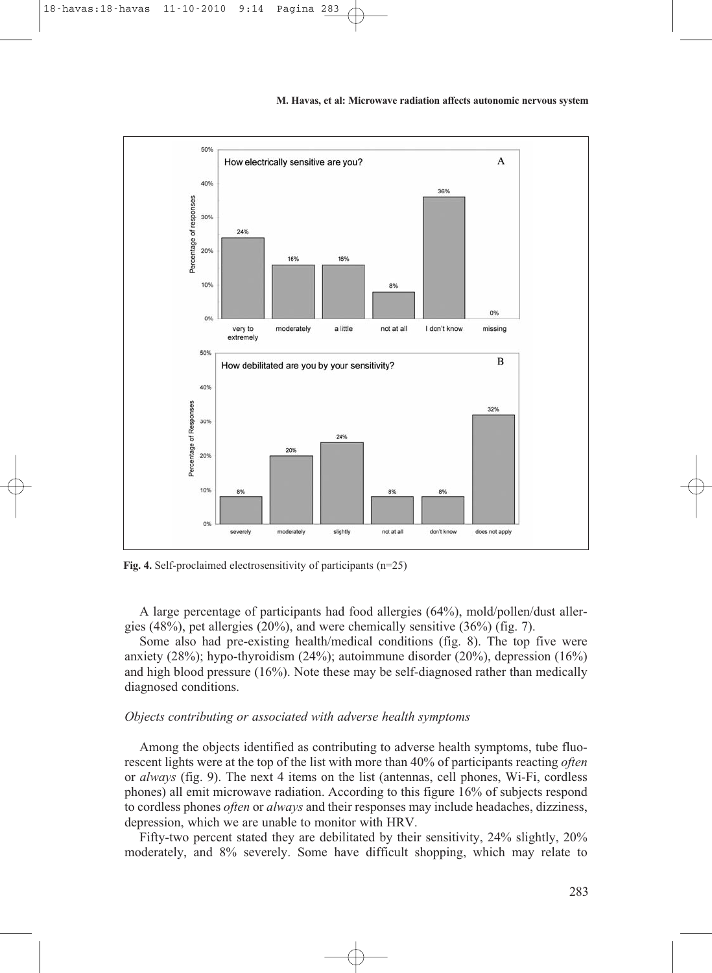

**Fig. 4.** Self-proclaimed electrosensitivity of participants (n=25)

A large percentage of participants had food allergies (64%), mold/pollen/dust allergies (48%), pet allergies (20%), and were chemically sensitive (36%) (fig. 7).

Some also had pre-existing health/medical conditions (fig. 8). The top five were anxiety (28%); hypo-thyroidism (24%); autoimmune disorder (20%), depression (16%) and high blood pressure (16%). Note these may be self-diagnosed rather than medically diagnosed conditions.

#### *Objects contributing or associated with adverse health symptoms*

Among the objects identified as contributing to adverse health symptoms, tube fluorescent lights were at the top of the list with more than 40% of participants reacting *often* or *always* (fig. 9). The next 4 items on the list (antennas, cell phones, Wi-Fi, cordless phones) all emit microwave radiation. According to this figure 16% of subjects respond to cordless phones *often* or *always* and their responses may include headaches, dizziness, depression, which we are unable to monitor with HRV.

Fifty-two percent stated they are debilitated by their sensitivity, 24% slightly, 20% moderately, and 8% severely. Some have difficult shopping, which may relate to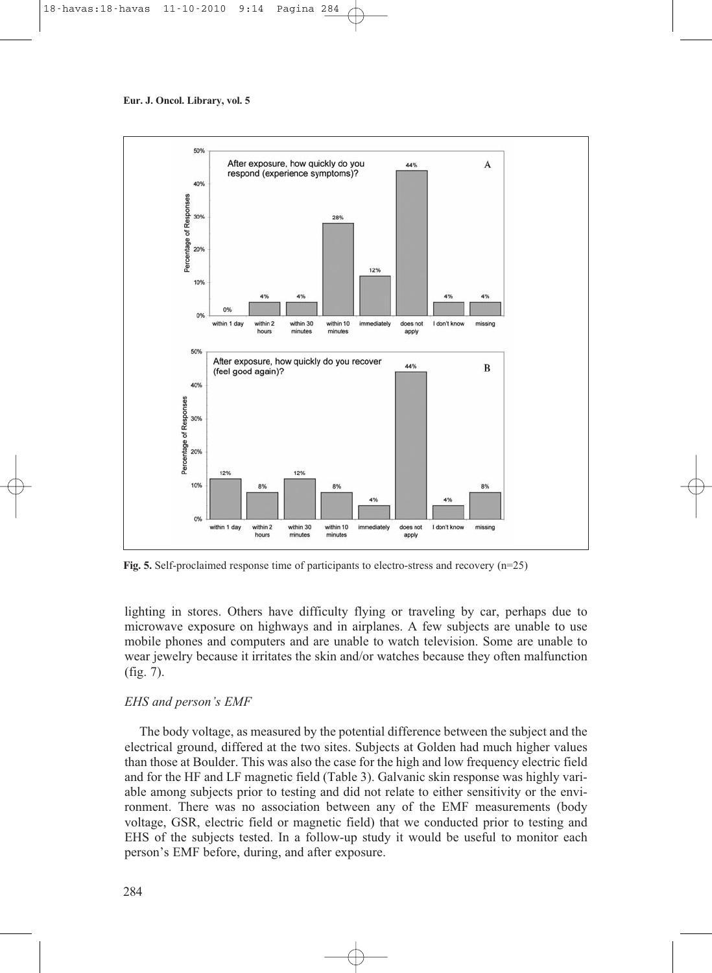

**Fig. 5.** Self-proclaimed response time of participants to electro-stress and recovery (n=25)

lighting in stores. Others have difficulty flying or traveling by car, perhaps due to microwave exposure on highways and in airplanes. A few subjects are unable to use mobile phones and computers and are unable to watch television. Some are unable to wear jewelry because it irritates the skin and/or watches because they often malfunction (fig. 7).

# *EHS and person's EMF*

The body voltage, as measured by the potential difference between the subject and the electrical ground, differed at the two sites. Subjects at Golden had much higher values than those at Boulder. This was also the case for the high and low frequency electric field and for the HF and LF magnetic field (Table 3). Galvanic skin response was highly variable among subjects prior to testing and did not relate to either sensitivity or the environment. There was no association between any of the EMF measurements (body voltage, GSR, electric field or magnetic field) that we conducted prior to testing and EHS of the subjects tested. In a follow-up study it would be useful to monitor each person's EMF before, during, and after exposure.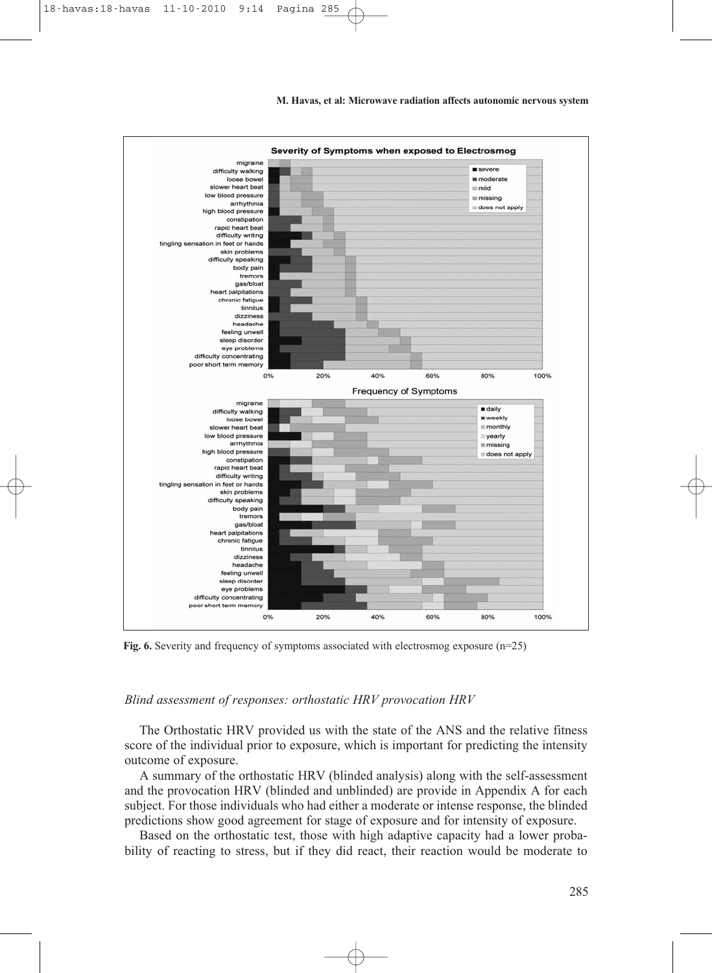



**Fig. 6.** Severity and frequency of symptoms associated with electrosmog exposure (n=25)

## *Blind assessment of responses: orthostatic HRV provocation HRV*

The Orthostatic HRV provided us with the state of the ANS and the relative fitness score of the individual prior to exposure, which is important for predicting the intensity outcome of exposure.

A summary of the orthostatic HRV (blinded analysis) along with the self-assessment and the provocation HRV (blinded and unblinded) are provide in Appendix A for each subject. For those individuals who had either a moderate or intense response, the blinded predictions show good agreement for stage of exposure and for intensity of exposure.

Based on the orthostatic test, those with high adaptive capacity had a lower probability of reacting to stress, but if they did react, their reaction would be moderate to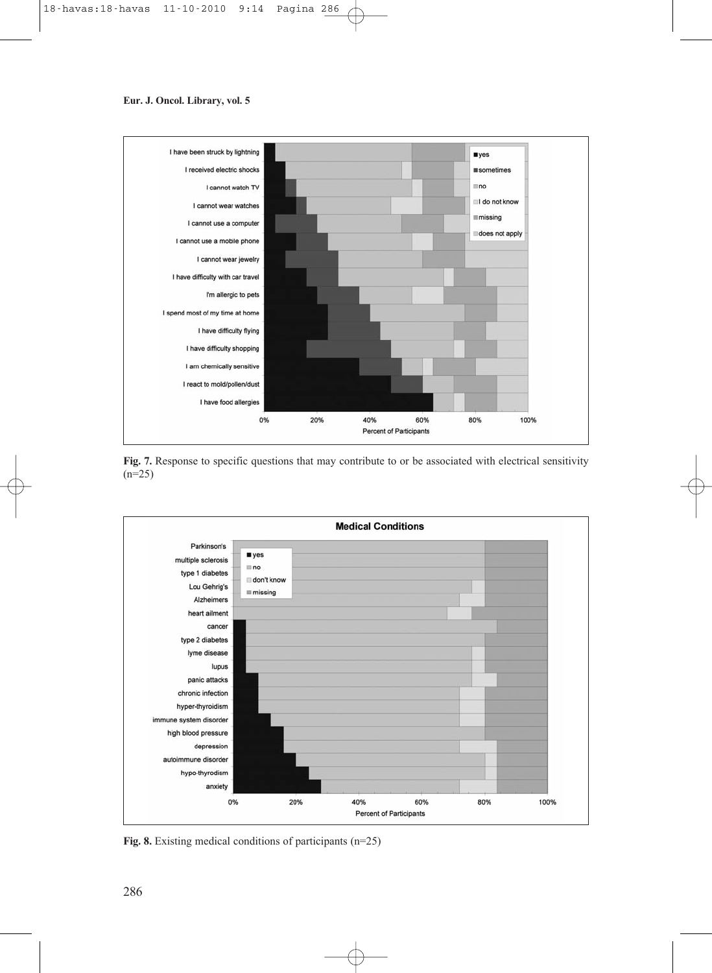

**Fig. 7.** Response to specific questions that may contribute to or be associated with electrical sensitivity  $(n=25)$ 



**Fig. 8.** Existing medical conditions of participants (n=25)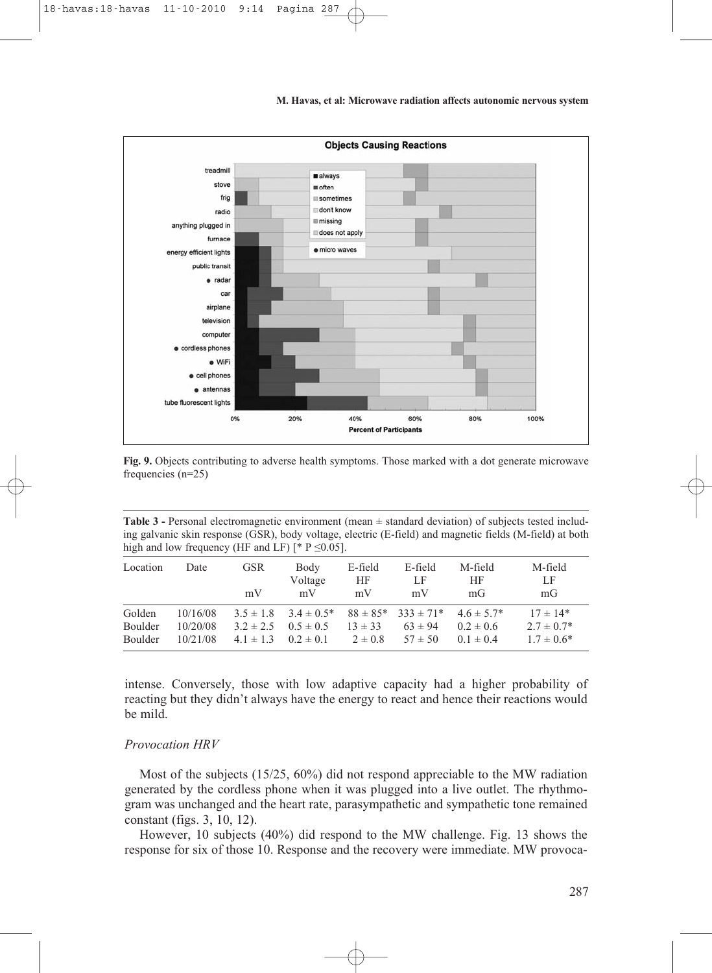

**Fig. 9.** Objects contributing to adverse health symptoms. Those marked with a dot generate microwave frequencies (n=25)

**Table 3 -** Personal electromagnetic environment (mean ± standard deviation) of subjects tested including galvanic skin response (GSR), body voltage, electric (E-field) and magnetic fields (M-field) at both high and low frequency (HF and LF)  $[^*P \leq 0.05]$ .

| Location                            | Date                             | <b>GSR</b><br>mV            | Body<br>Voltage<br>mV                                                                                                             | E-field<br>HF<br>mV | E-field<br>LF<br>mV | M-field<br>HF<br>mG            | M-field<br>LF<br>mG                                |
|-------------------------------------|----------------------------------|-----------------------------|-----------------------------------------------------------------------------------------------------------------------------------|---------------------|---------------------|--------------------------------|----------------------------------------------------|
| Golden<br>Boulder<br><b>Boulder</b> | 10/16/08<br>10/20/08<br>10/21/08 | $3.2 \pm 2.5$ $0.5 \pm 0.5$ | $3.5 \pm 1.8$ $3.4 \pm 0.5^*$ $88 \pm 85^*$ $333 \pm 71^*$ $4.6 \pm 5.7^*$<br>$4.1 \pm 1.3$ $0.2 \pm 0.1$ $2 \pm 0.8$ $57 \pm 50$ | $13 \pm 33$         | $63 \pm 94$         | $0.2 \pm 0.6$<br>$0.1 \pm 0.4$ | $17 \pm 14*$<br>$2.7 \pm 0.7^*$<br>$1.7 \pm 0.6^*$ |

intense. Conversely, those with low adaptive capacity had a higher probability of reacting but they didn't always have the energy to react and hence their reactions would be mild.

# *Provocation HRV*

Most of the subjects (15/25, 60%) did not respond appreciable to the MW radiation generated by the cordless phone when it was plugged into a live outlet. The rhythmogram was unchanged and the heart rate, parasympathetic and sympathetic tone remained constant (figs. 3, 10, 12).

However, 10 subjects (40%) did respond to the MW challenge. Fig. 13 shows the response for six of those 10. Response and the recovery were immediate. MW provoca-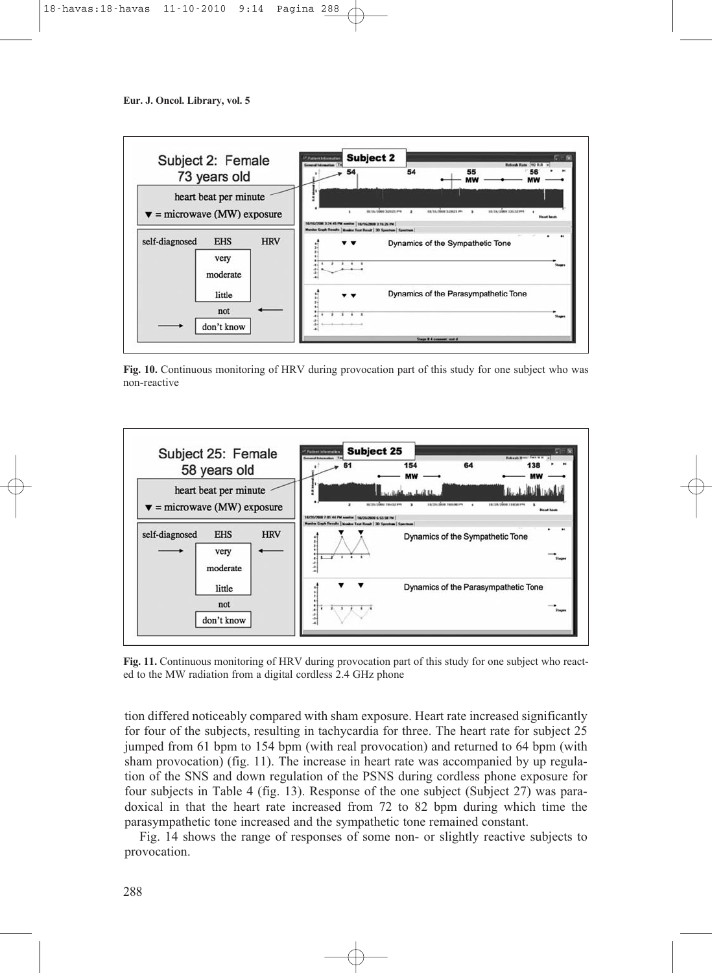

**Fig. 10.** Continuous monitoring of HRV during provocation part of this study for one subject who was non-reactive



**Fig. 11.** Continuous monitoring of HRV during provocation part of this study for one subject who reacted to the MW radiation from a digital cordless 2.4 GHz phone

tion differed noticeably compared with sham exposure. Heart rate increased significantly for four of the subjects, resulting in tachycardia for three. The heart rate for subject 25 jumped from 61 bpm to 154 bpm (with real provocation) and returned to 64 bpm (with sham provocation) (fig. 11). The increase in heart rate was accompanied by up regulation of the SNS and down regulation of the PSNS during cordless phone exposure for four subjects in Table 4 (fig. 13). Response of the one subject (Subject 27) was paradoxical in that the heart rate increased from 72 to 82 bpm during which time the parasympathetic tone increased and the sympathetic tone remained constant.

Fig. 14 shows the range of responses of some non- or slightly reactive subjects to provocation.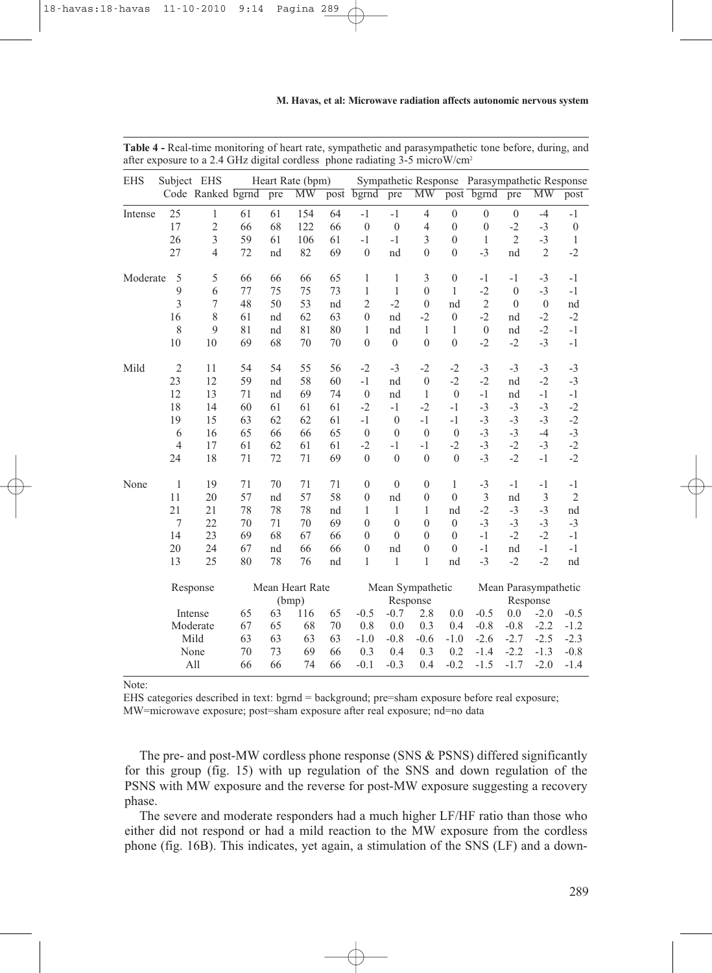| <b>EHS</b> | Subject EHS    |                   |          |                 | Heart Rate (bpm)       |    |                |                  |                        |                | Sympathetic Response Parasympathetic Response |                |                        |                  |
|------------|----------------|-------------------|----------|-----------------|------------------------|----|----------------|------------------|------------------------|----------------|-----------------------------------------------|----------------|------------------------|------------------|
|            |                | Code Ranked bgrnd |          | pre             | $\overline{\text{MW}}$ |    | post bgrnd     | pre              | $\overline{\text{MW}}$ |                | post bgrnd                                    | pre            | $\overline{\text{MW}}$ | post             |
| Intense    | 25             | $\mathbf{1}$      | 61       | 61              | 154                    | 64 | $-1$           | $-1$             | $\overline{4}$         | $\mathbf{0}$   | $\mathbf{0}$                                  | $\mathbf{0}$   | $-4$                   | $-1$             |
|            | 17             | $\overline{2}$    | 66       | 68              | 122                    | 66 | $\mathbf{0}$   | $\overline{0}$   | $\overline{4}$         | $\mathbf{0}$   | $\mathbf{0}$                                  | $-2$           | $-3$                   | $\boldsymbol{0}$ |
|            | 26             | 3                 | 59       | 61              | 106                    | 61 | $-1$           | $-1$             | 3                      | $\theta$       | 1                                             | $\overline{2}$ | $-3$                   | 1                |
|            | 27             | $\overline{4}$    | 72       | nd              | 82                     | 69 | $\mathbf{0}$   | nd               | $\mathbf{0}$           | $\mathbf{0}$   | $-3$                                          | nd             | $\overline{2}$         | $-2$             |
| Moderate   | 5              | 5                 | 66       | 66              | 66                     | 65 | $\mathbf{1}$   | 1                | 3                      | $\mathbf{0}$   | $-1$                                          | $-1$           | $-3$                   | $-1$             |
|            | 9              | 6                 | 77       | 75              | 75                     | 73 | $\mathbf{1}$   | 1                | $\theta$               | $\mathbf{1}$   | $-2$                                          | $\theta$       | $-3$                   | $-1$             |
|            | 3              | $\tau$            | 48       | 50              | 53                     | nd | $\overline{2}$ | $-2$             | $\mathbf{0}$           | nd             | $\overline{2}$                                | $\theta$       | $\mathbf{0}$           | nd               |
|            | 16             | 8                 | 61       | nd              | 62                     | 63 | $\mathbf{0}$   | nd               | $-2$                   | $\mathbf{0}$   | $-2$                                          | nd             | $-2$                   | $-2$             |
|            | 8              | 9                 | 81       | nd              | 81                     | 80 | $\mathbf{1}$   | nd               | $\mathbf{1}$           | 1              | $\boldsymbol{0}$                              | nd             | $-2$                   | $-1$             |
|            | 10             | 10                | 69       | 68              | 70                     | 70 | $\theta$       | $\mathbf{0}$     | $\theta$               | $\theta$       | $-2$                                          | $-2$           | $-3$                   | $-1$             |
| Mild       | $\sqrt{2}$     | 11                | 54       | 54              | 55                     | 56 | $-2$           | $-3$             | $-2$                   | $-2$           | $-3$                                          | $-3$           | $-3$                   | $-3$             |
|            | 23             | 12                | 59       | nd              | 58                     | 60 | $-1$           | nd               | $\boldsymbol{0}$       | $-2$           | $-2$                                          | nd             | $-2$                   | $-3$             |
|            | 12             | 13                | 71       | nd              | 69                     | 74 | $\mathbf{0}$   | nd               | $\mathbf{1}$           | $\overline{0}$ | $-1$                                          | nd             | $-1$                   | $-1$             |
|            | 18             | 14                | 60       | 61              | 61                     | 61 | $-2$           | $-1$             | $-2$                   | $-1$           | $-3$                                          | $-3$           | $-3$                   | $-2$             |
|            | 19             | 15                | 63       | 62              | 62                     | 61 | $-1$           | $\mathbf{0}$     | $-1$                   | $-1$           | $-3$                                          | $-3$           | $-3$                   | $-2$             |
|            | 6              | 16                | 65       | 66              | 66                     | 65 | $\mathbf{0}$   | $\mathbf{0}$     | $\mathbf{0}$           | $\mathbf{0}$   | $-3$                                          | $-3$           | $-4$                   | $-3$             |
|            | $\overline{4}$ | 17                | 61       | 62              | 61                     | 61 | $-2$           | $-1$             | $-1$                   | $-2$           | $-3$                                          | $-2$           | $-3$                   | $-2$             |
|            | 24             | 18                | 71       | 72              | 71                     | 69 | $\theta$       | $\mathbf{0}$     | $\theta$               | $\theta$       | $-3$                                          | $-2$           | $-1$                   | $-2$             |
| None       | $\mathbf{1}$   | 19                | 71       | 70              | 71                     | 71 | $\mathbf{0}$   | $\boldsymbol{0}$ | $\boldsymbol{0}$       | 1              | $-3$                                          | $-1$           | $-1$                   | $-1$             |
|            | 11             | 20                | 57       | nd              | 57                     | 58 | $\mathbf{0}$   | nd               | $\mathbf{0}$           | $\overline{0}$ | 3                                             | nd             | 3                      | $\overline{2}$   |
|            | 21             | 21                | 78       | 78              | 78                     | nd | 1              | 1                | $\mathbf{1}$           | nd             | $-2$                                          | $-3$           | $-3$                   | nd               |
|            | 7              | 22                | 70       | 71              | 70                     | 69 | $\theta$       | $\mathbf{0}$     | $\mathbf{0}$           | $\theta$       | $-3$                                          | $-3$           | $-3$                   | $-3$             |
|            | 14             | 23                | 69       | 68              | 67                     | 66 | $\theta$       | $\mathbf{0}$     | $\mathbf{0}$           | $\theta$       | $-1$                                          | $-2$           | $-2$                   | $-1$             |
|            | 20             | 24                | 67       | nd              | 66                     | 66 | $\mathbf{0}$   | nd               | $\mathbf{0}$           | $\mathbf{0}$   | $-1$                                          | nd             | $-1$                   | $-1$             |
|            | 13             | 25                | 80       | 78              | 76                     | nd | $\mathbf{1}$   | $\mathbf{1}$     | $\mathbf{1}$           | nd             | $-3$                                          | $-2$           | $-2$                   | nd               |
|            |                | Response          |          | Mean Heart Rate |                        |    |                |                  | Mean Sympathetic       |                | Mean Parasympathetic                          |                |                        |                  |
|            |                |                   | (bmp)    |                 |                        |    |                |                  | Response               |                |                                               |                | Response               |                  |
|            |                | Intense           |          | 63              | 116                    | 65 | $-0.5$         | $-0.7$           | 2.8                    | 0.0            | $-0.5$                                        | 0.0            | $-2.0$                 | $-0.5$           |
|            |                | Moderate          | 67       | 65              | 68                     | 70 | 0.8            | 0.0              | 0.3                    | 0.4            | $-0.8$                                        | $-0.8$         | $-2.2$                 | $-1.2$           |
|            |                | Mild              | 63       | 63              | 63                     | 63 | $-1.0$         | $-0.8$           | $-0.6$                 | $-1.0$         | $-2.6$                                        | $-2.7$         | $-2.5$                 | $-2.3$           |
|            |                | None              | 70<br>66 | 73              | 69                     | 66 | 0.3            | 0.4              | 0.3                    | 0.2            | $-1.4$                                        | $-2.2$         | $-1.3$                 | $-0.8$           |
|            |                | All               |          | 66              | 74                     | 66 | $-0.1$         | $-0.3$           | 0.4                    | $-0.2$         | $-1.5$                                        | $-1.7$         | $-2.0$                 | $-1.4$           |

**Table 4 -** Real-time monitoring of heart rate, sympathetic and parasympathetic tone before, during, and after exposure to a 2.4 GHz digital cordless phone radiating 3-5 microW/cm2

Note:

EHS categories described in text: bgrnd = background; pre=sham exposure before real exposure;

MW=microwave exposure; post=sham exposure after real exposure; nd=no data

The pre- and post-MW cordless phone response (SNS & PSNS) differed significantly for this group (fig. 15) with up regulation of the SNS and down regulation of the PSNS with MW exposure and the reverse for post-MW exposure suggesting a recovery phase.

The severe and moderate responders had a much higher LF/HF ratio than those who either did not respond or had a mild reaction to the MW exposure from the cordless phone (fig. 16B). This indicates, yet again, a stimulation of the SNS (LF) and a down-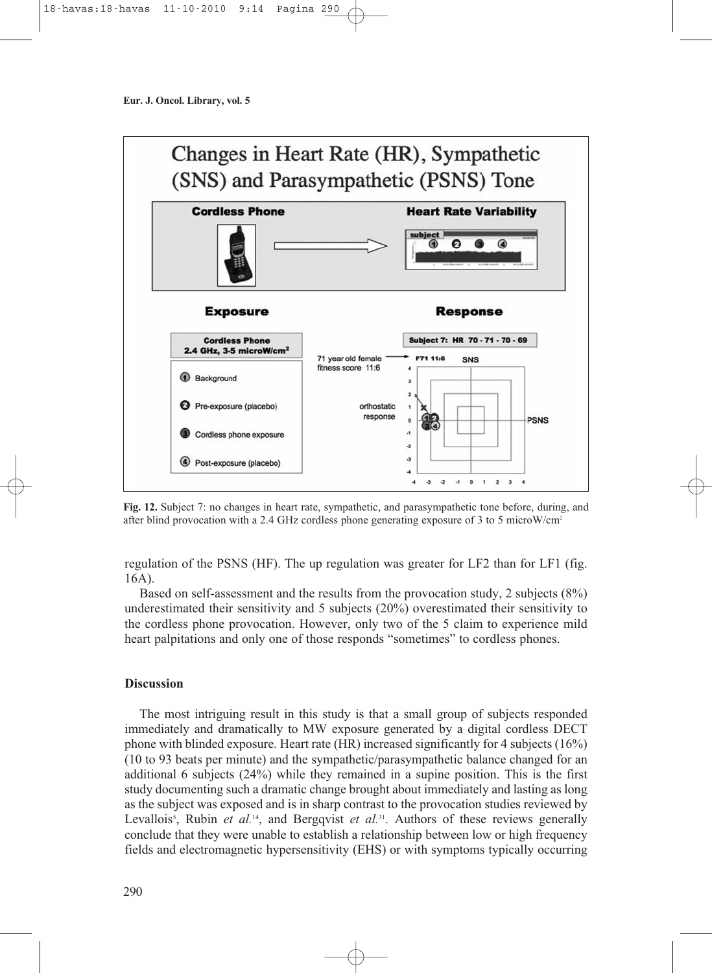

**Fig. 12.** Subject 7: no changes in heart rate, sympathetic, and parasympathetic tone before, during, and after blind provocation with a 2.4 GHz cordless phone generating exposure of 3 to 5 microW/cm<sup>2</sup>

regulation of the PSNS (HF). The up regulation was greater for LF2 than for LF1 (fig. 16A).

Based on self-assessment and the results from the provocation study, 2 subjects (8%) underestimated their sensitivity and 5 subjects (20%) overestimated their sensitivity to the cordless phone provocation. However, only two of the 5 claim to experience mild heart palpitations and only one of those responds "sometimes" to cordless phones.

## **Discussion**

The most intriguing result in this study is that a small group of subjects responded immediately and dramatically to MW exposure generated by a digital cordless DECT phone with blinded exposure. Heart rate (HR) increased significantly for 4 subjects (16%) (10 to 93 beats per minute) and the sympathetic/parasympathetic balance changed for an additional 6 subjects (24%) while they remained in a supine position. This is the first study documenting such a dramatic change brought about immediately and lasting as long as the subject was exposed and is in sharp contrast to the provocation studies reviewed by Levallois<sup>5</sup>, Rubin *et al.*<sup>14</sup>, and Bergqvist *et al.*<sup>31</sup>. Authors of these reviews generally conclude that they were unable to establish a relationship between low or high frequency fields and electromagnetic hypersensitivity (EHS) or with symptoms typically occurring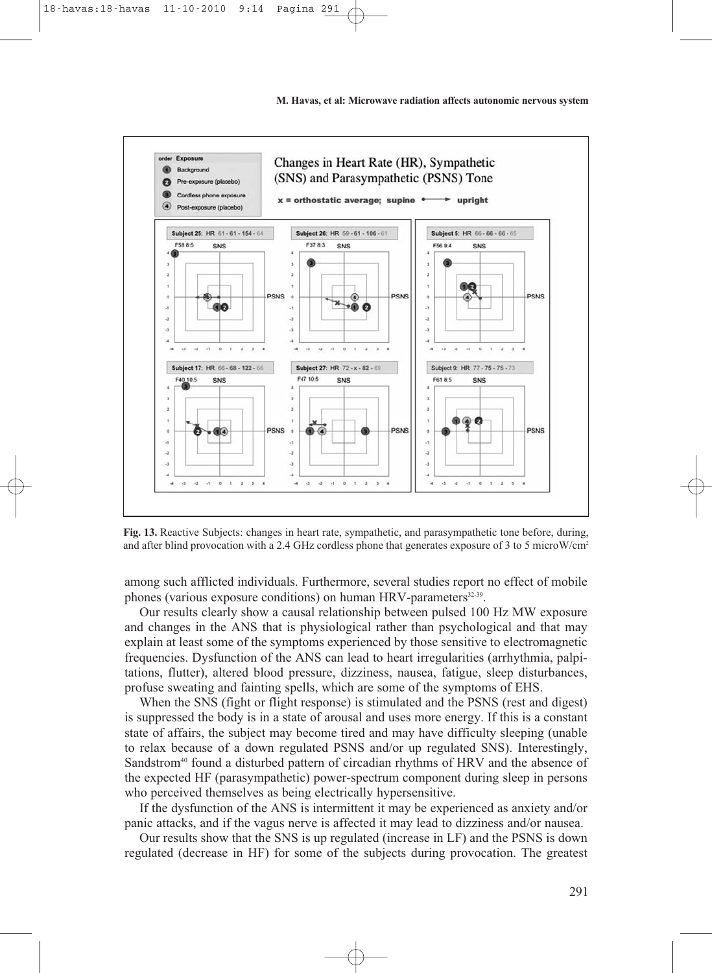

**Fig. 13.** Reactive Subjects: changes in heart rate, sympathetic, and parasympathetic tone before, during, and after blind provocation with a 2.4 GHz cordless phone that generates exposure of 3 to 5 microW/cm2

among such afflicted individuals. Furthermore, several studies report no effect of mobile phones (various exposure conditions) on human HRV-parameters<sup>32-39</sup>.

Our results clearly show a causal relationship between pulsed 100 Hz MW exposure and changes in the ANS that is physiological rather than psychological and that may explain at least some of the symptoms experienced by those sensitive to electromagnetic frequencies. Dysfunction of the ANS can lead to heart irregularities (arrhythmia, palpitations, flutter), altered blood pressure, dizziness, nausea, fatigue, sleep disturbances, profuse sweating and fainting spells, which are some of the symptoms of EHS.

When the SNS (fight or flight response) is stimulated and the PSNS (rest and digest) is suppressed the body is in a state of arousal and uses more energy. If this is a constant state of affairs, the subject may become tired and may have difficulty sleeping (unable to relax because of a down regulated PSNS and/or up regulated SNS). Interestingly, Sandstrom<sup>40</sup> found a disturbed pattern of circadian rhythms of HRV and the absence of the expected HF (parasympathetic) power-spectrum component during sleep in persons who perceived themselves as being electrically hypersensitive.

If the dysfunction of the ANS is intermittent it may be experienced as anxiety and/or panic attacks, and if the vagus nerve is affected it may lead to dizziness and/or nausea.

Our results show that the SNS is up regulated (increase in LF) and the PSNS is down regulated (decrease in HF) for some of the subjects during provocation. The greatest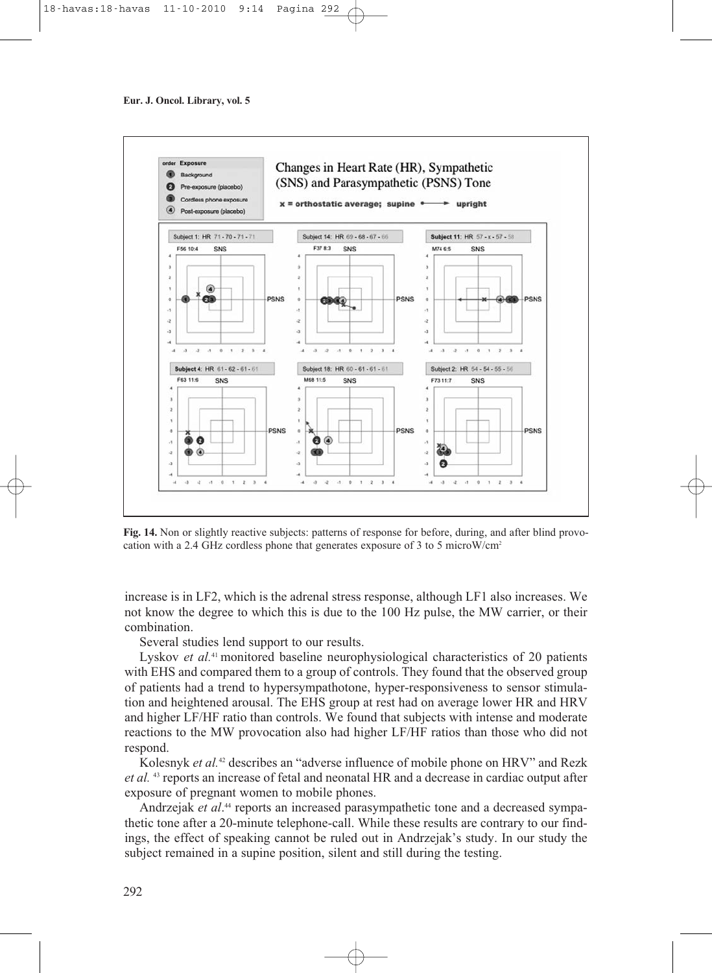

**Fig. 14.** Non or slightly reactive subjects: patterns of response for before, during, and after blind provocation with a 2.4 GHz cordless phone that generates exposure of 3 to 5 microW/cm2

increase is in LF2, which is the adrenal stress response, although LF1 also increases. We not know the degree to which this is due to the 100 Hz pulse, the MW carrier, or their combination.

Several studies lend support to our results.

Lyskov *et al.* <sup>41</sup> monitored baseline neurophysiological characteristics of 20 patients with EHS and compared them to a group of controls. They found that the observed group of patients had a trend to hypersympathotone, hyper-responsiveness to sensor stimulation and heightened arousal. The EHS group at rest had on average lower HR and HRV and higher LF/HF ratio than controls. We found that subjects with intense and moderate reactions to the MW provocation also had higher LF/HF ratios than those who did not respond.

Kolesnyk *et al.* <sup>42</sup> describes an "adverse influence of mobile phone on HRV" and Rezk *et al.* <sup>43</sup> reports an increase of fetal and neonatal HR and a decrease in cardiac output after exposure of pregnant women to mobile phones.

Andrzejak *et al*. <sup>44</sup> reports an increased parasympathetic tone and a decreased sympathetic tone after a 20-minute telephone-call. While these results are contrary to our findings, the effect of speaking cannot be ruled out in Andrzejak's study. In our study the subject remained in a supine position, silent and still during the testing.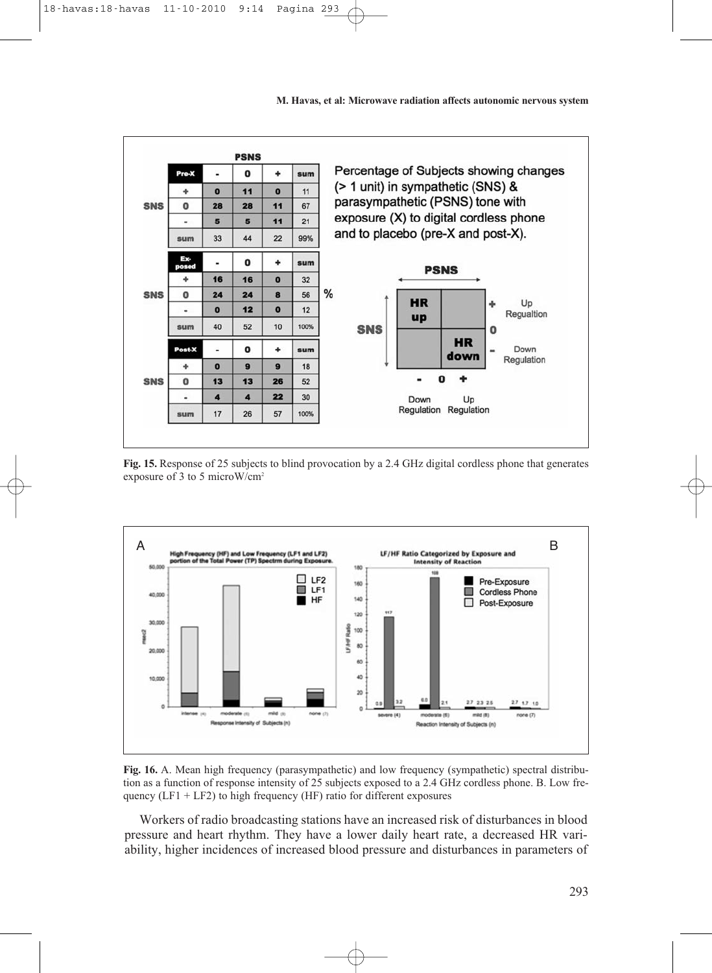

**Fig. 15.** Response of 25 subjects to blind provocation by a 2.4 GHz digital cordless phone that generates exposure of 3 to 5 microW/cm2



**Fig. 16.** A. Mean high frequency (parasympathetic) and low frequency (sympathetic) spectral distribution as a function of response intensity of 25 subjects exposed to a 2.4 GHz cordless phone. B. Low frequency  $(LF1 + LF2)$  to high frequency (HF) ratio for different exposures

Workers of radio broadcasting stations have an increased risk of disturbances in blood pressure and heart rhythm. They have a lower daily heart rate, a decreased HR variability, higher incidences of increased blood pressure and disturbances in parameters of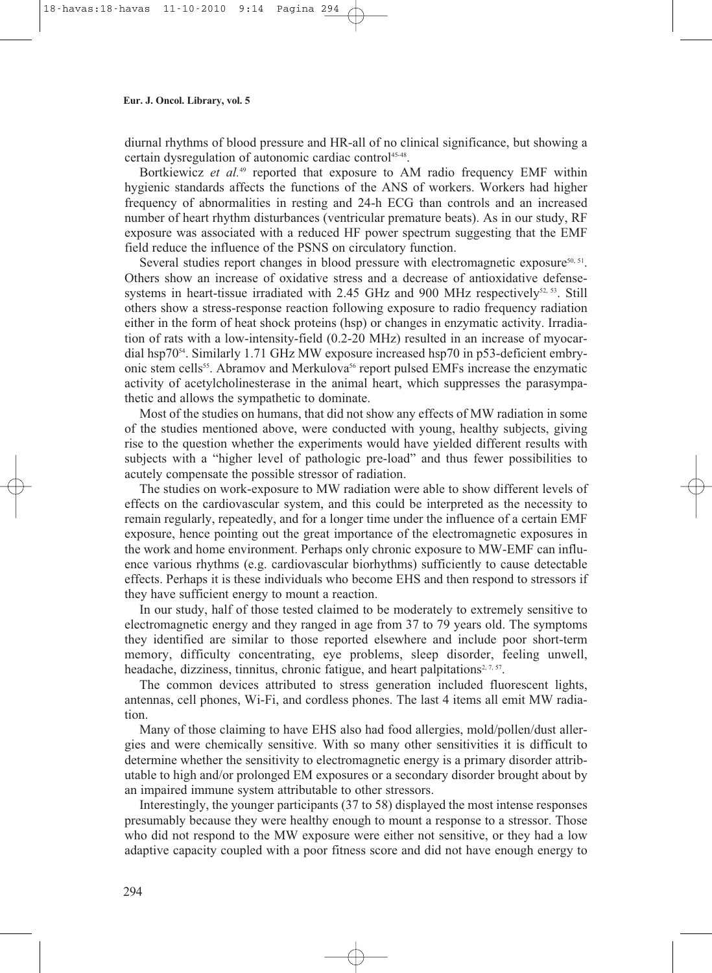diurnal rhythms of blood pressure and HR-all of no clinical significance, but showing a certain dysregulation of autonomic cardiac control 45-48 .

Bortkiewicz *et al.<sup>49</sup>* reported that exposure to AM radio frequency EMF within hygienic standards affects the functions of the ANS of workers. Workers had higher frequency of abnormalities in resting and 24-h ECG than controls and an increased number of heart rhythm disturbances (ventricular premature beats). As in our study, RF exposure was associated with a reduced HF power spectrum suggesting that the EMF field reduce the influence of the PSNS on circulatory function.

Several studies report changes in blood pressure with electromagnetic exposure<sup>50, 51</sup>. Others show an increase of oxidative stress and a decrease of antioxidative defensesystems in heart-tissue irradiated with 2.45 GHz and 900 MHz respectively<sup>52, 53</sup>. Still others show a stress-response reaction following exposure to radio frequency radiation either in the form of heat shock proteins (hsp) or changes in enzymatic activity. Irradiation of rats with a low-intensity-field (0.2-20 MHz) resulted in an increase of myocardial hsp7054 . Similarly 1.71 GHz MW exposure increased hsp70 in p53-deficient embryonic stem cells<sup>55</sup>. Abramov and Merkulova<sup>56</sup> report pulsed EMFs increase the enzymatic activity of acetylcholinesterase in the animal heart, which suppresses the parasympathetic and allows the sympathetic to dominate.

Most of the studies on humans, that did not show any effects of MW radiation in some of the studies mentioned above, were conducted with young, healthy subjects, giving rise to the question whether the experiments would have yielded different results with subjects with a "higher level of pathologic pre-load" and thus fewer possibilities to acutely compensate the possible stressor of radiation.

The studies on work-exposure to MW radiation were able to show different levels of effects on the cardiovascular system, and this could be interpreted as the necessity to remain regularly, repeatedly, and for a longer time under the influence of a certain EMF exposure, hence pointing out the great importance of the electromagnetic exposures in the work and home environment. Perhaps only chronic exposure to MW-EMF can influence various rhythms (e.g. cardiovascular biorhythms) sufficiently to cause detectable effects. Perhaps it is these individuals who become EHS and then respond to stressors if they have sufficient energy to mount a reaction.

In our study, half of those tested claimed to be moderately to extremely sensitive to electromagnetic energy and they ranged in age from 37 to 79 years old. The symptoms they identified are similar to those reported elsewhere and include poor short-term memory, difficulty concentrating, eye problems, sleep disorder, feeling unwell, headache, dizziness, tinnitus, chronic fatigue, and heart palpitations<sup>2, 7, 57</sup>.

The common devices attributed to stress generation included fluorescent lights, antennas, cell phones, Wi-Fi, and cordless phones. The last 4 items all emit MW radiation.

Many of those claiming to have EHS also had food allergies, mold/pollen/dust allergies and were chemically sensitive. With so many other sensitivities it is difficult to determine whether the sensitivity to electromagnetic energy is a primary disorder attributable to high and/or prolonged EM exposures or a secondary disorder brought about by an impaired immune system attributable to other stressors.

Interestingly, the younger participants (37 to 58) displayed the most intense responses presumably because they were healthy enough to mount a response to a stressor. Those who did not respond to the MW exposure were either not sensitive, or they had a low adaptive capacity coupled with a poor fitness score and did not have enough energy to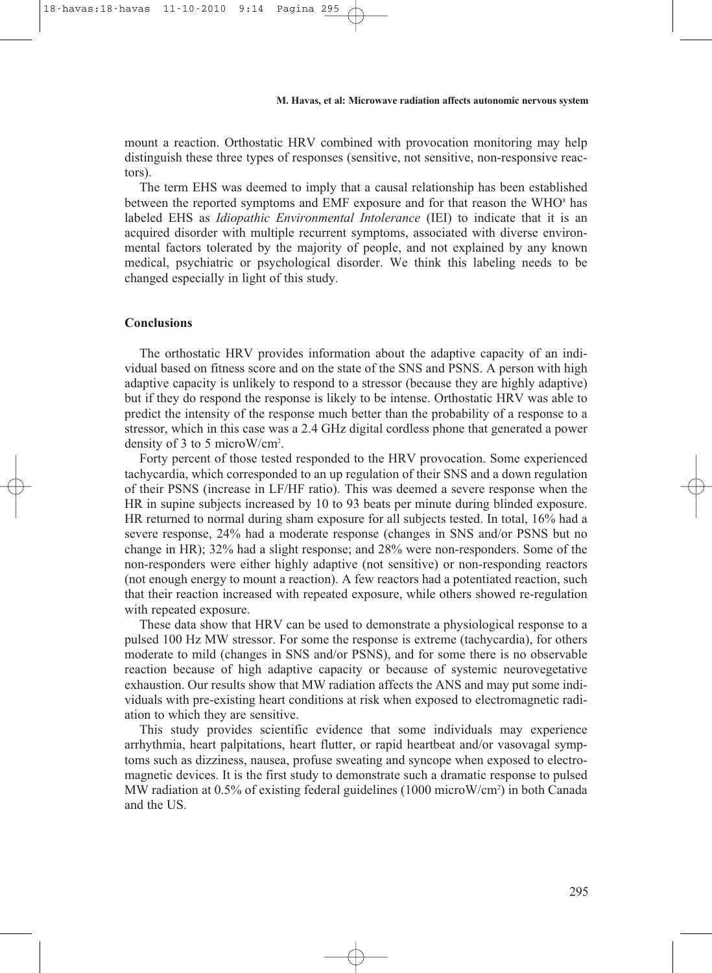mount a reaction. Orthostatic HRV combined with provocation monitoring may help distinguish these three types of responses (sensitive, not sensitive, non-responsive reactors).

The term EHS was deemed to imply that a causal relationship has been established between the reported symptoms and EMF exposure and for that reason the WHO<sup>8</sup> has labeled EHS as *Idiopathic Environmental Intolerance* (IEI) to indicate that it is an acquired disorder with multiple recurrent symptoms, associated with diverse environmental factors tolerated by the majority of people, and not explained by any known medical, psychiatric or psychological disorder. We think this labeling needs to be changed especially in light of this study.

# **Conclusions**

The orthostatic HRV provides information about the adaptive capacity of an individual based on fitness score and on the state of the SNS and PSNS. A person with high adaptive capacity is unlikely to respond to a stressor (because they are highly adaptive) but if they do respond the response is likely to be intense. Orthostatic HRV was able to predict the intensity of the response much better than the probability of a response to a stressor, which in this case was a 2.4 GHz digital cordless phone that generated a power density of 3 to 5 microW/cm2 .

Forty percent of those tested responded to the HRV provocation. Some experienced tachycardia, which corresponded to an up regulation of their SNS and a down regulation of their PSNS (increase in LF/HF ratio). This was deemed a severe response when the HR in supine subjects increased by 10 to 93 beats per minute during blinded exposure. HR returned to normal during sham exposure for all subjects tested. In total, 16% had a severe response, 24% had a moderate response (changes in SNS and/or PSNS but no change in HR); 32% had a slight response; and 28% were non-responders. Some of the non-responders were either highly adaptive (not sensitive) or non-responding reactors (not enough energy to mount a reaction). A few reactors had a potentiated reaction, such that their reaction increased with repeated exposure, while others showed re-regulation with repeated exposure.

These data show that HRV can be used to demonstrate a physiological response to a pulsed 100 Hz MW stressor. For some the response is extreme (tachycardia), for others moderate to mild (changes in SNS and/or PSNS), and for some there is no observable reaction because of high adaptive capacity or because of systemic neurovegetative exhaustion. Our results show that MW radiation affects the ANS and may put some individuals with pre-existing heart conditions at risk when exposed to electromagnetic radiation to which they are sensitive.

This study provides scientific evidence that some individuals may experience arrhythmia, heart palpitations, heart flutter, or rapid heartbeat and/or vasovagal symptoms such as dizziness, nausea, profuse sweating and syncope when exposed to electromagnetic devices. It is the first study to demonstrate such a dramatic response to pulsed MW radiation at 0.5% of existing federal guidelines (1000 microW/cm2 ) in both Canada and the US.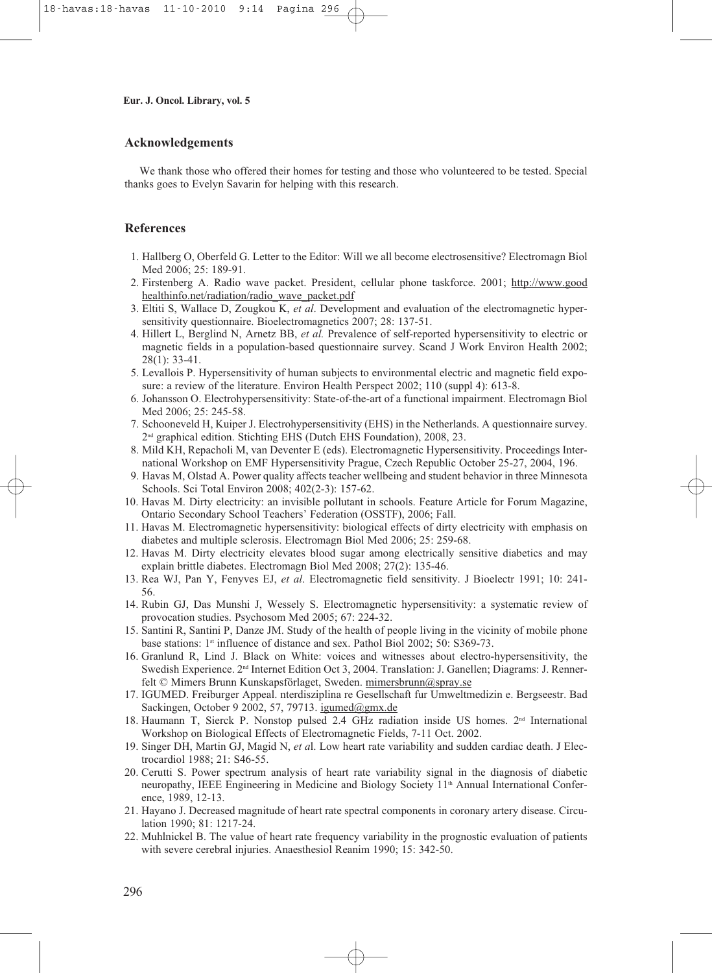# **Acknowledgements**

We thank those who offered their homes for testing and those who volunteered to be tested. Special thanks goes to Evelyn Savarin for helping with this research.

# **References**

- 1. Hallberg O, Oberfeld G. Letter to the Editor: Will we all become electrosensitive? Electromagn Biol Med 2006; 25: 189-91.
- 2. Firstenberg A. Radio wave packet. President, cellular phone taskforce. 2001; http://www.good healthinfo.net/radiation/radio\_wave\_packet.pdf
- 3. Eltiti S, Wallace D, Zougkou K, *et al*. Development and evaluation of the electromagnetic hypersensitivity questionnaire. Bioelectromagnetics 2007; 28: 137-51.
- 4. Hillert L, Berglind N, Arnetz BB, *et al.* Prevalence of self-reported hypersensitivity to electric or magnetic fields in a population-based questionnaire survey. Scand J Work Environ Health 2002; 28(1): 33-41.
- 5. Levallois P. Hypersensitivity of human subjects to environmental electric and magnetic field exposure: a review of the literature. Environ Health Perspect 2002; 110 (suppl 4): 613-8.
- 6. Johansson O. Electrohypersensitivity: State-of-the-art of a functional impairment. Electromagn Biol Med 2006; 25: 245-58.
- 7. Schooneveld H, Kuiper J. Electrohypersensitivity (EHS) in the Netherlands. A questionnaire survey. 2<sup>nd</sup> graphical edition. Stichting EHS (Dutch EHS Foundation), 2008, 23.
- 8. Mild KH, Repacholi M, van Deventer E (eds). Electromagnetic Hypersensitivity. Proceedings International Workshop on EMF Hypersensitivity Prague, Czech Republic October 25-27, 2004, 196.
- 9. Havas M, Olstad A. Power quality affects teacher wellbeing and student behavior in three Minnesota Schools. Sci Total Environ 2008; 402(2-3): 157-62.
- 10. Havas M. Dirty electricity: an invisible pollutant in schools. Feature Article for Forum Magazine, Ontario Secondary School Teachers' Federation (OSSTF), 2006; Fall.
- 11. Havas M. Electromagnetic hypersensitivity: biological effects of dirty electricity with emphasis on diabetes and multiple sclerosis. Electromagn Biol Med 2006; 25: 259-68.
- 12. Havas M. Dirty electricity elevates blood sugar among electrically sensitive diabetics and may explain brittle diabetes. Electromagn Biol Med 2008; 27(2): 135-46.
- 13. Rea WJ, Pan Y, Fenyves EJ, *et al*. Electromagnetic field sensitivity. J Bioelectr 1991; 10: 241- 56.
- 14. Rubin GJ, Das Munshi J, Wessely S. Electromagnetic hypersensitivity: a systematic review of provocation studies. Psychosom Med 2005; 67: 224-32.
- 15. Santini R, Santini P, Danze JM. Study of the health of people living in the vicinity of mobile phone base stations:  $1$ <sup>st</sup> influence of distance and sex. Pathol Biol 2002; 50: S369-73.
- 16. Granlund R, Lind J. Black on White: voices and witnesses about electro-hypersensitivity, the Swedish Experience. 2<sup>nd</sup> Internet Edition Oct 3, 2004. Translation: J. Ganellen; Diagrams: J. Rennerfelt © Mimers Brunn Kunskapsförlaget, Sweden. mimersbrunn@spray.se
- 17. IGUMED. Freiburger Appeal. nterdisziplina re Gesellschaft fur Umweltmedizin e. Bergseestr. Bad Sackingen, October 9 2002, 57, 79713. igumed@gmx.de
- 18. Haumann T, Sierck P. Nonstop pulsed 2.4 GHz radiation inside US homes.  $2<sup>nd</sup>$  International Workshop on Biological Effects of Electromagnetic Fields, 7-11 Oct. 2002.
- 19. Singer DH, Martin GJ, Magid N, *et a*l. Low heart rate variability and sudden cardiac death. J Electrocardiol 1988; 21: S46-55.
- 20. Cerutti S. Power spectrum analysis of heart rate variability signal in the diagnosis of diabetic neuropathy, IEEE Engineering in Medicine and Biology Society 11<sup>th</sup> Annual International Conference, 1989, 12-13.
- 21. Hayano J. Decreased magnitude of heart rate spectral components in coronary artery disease. Circulation 1990; 81: 1217-24.
- 22. Muhlnickel B. The value of heart rate frequency variability in the prognostic evaluation of patients with severe cerebral injuries. Anaesthesiol Reanim 1990; 15: 342-50.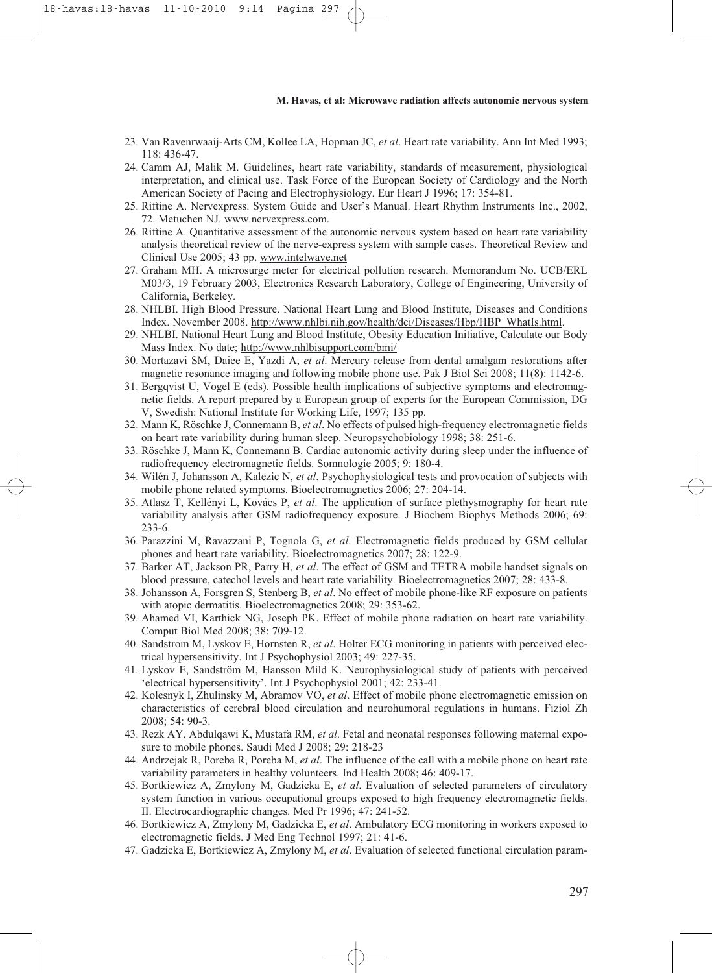- 23. Van Ravenrwaaij-Arts CM, Kollee LA, Hopman JC, *et al*. Heart rate variability. Ann Int Med 1993; 118: 436-47.
- 24. Camm AJ, Malik M. Guidelines, heart rate variability, standards of measurement, physiological interpretation, and clinical use. Task Force of the European Society of Cardiology and the North American Society of Pacing and Electrophysiology. Eur Heart J 1996; 17: 354-81.
- 25. Riftine A. Nervexpress. System Guide and User's Manual. Heart Rhythm Instruments Inc., 2002, 72. Metuchen NJ. www.nervexpress.com.
- 26. Riftine A. Quantitative assessment of the autonomic nervous system based on heart rate variability analysis theoretical review of the nerve-express system with sample cases. Theoretical Review and Clinical Use 2005; 43 pp. www.intelwave.net
- 27. Graham MH. A microsurge meter for electrical pollution research. Memorandum No. UCB/ERL M03/3, 19 February 2003, Electronics Research Laboratory, College of Engineering, University of California, Berkeley.
- 28. NHLBI. High Blood Pressure. National Heart Lung and Blood Institute, Diseases and Conditions Index. November 2008. http://www.nhlbi.nih.gov/health/dci/Diseases/Hbp/HBP\_WhatIs.html.
- 29. NHLBI. National Heart Lung and Blood Institute, Obesity Education Initiative, Calculate our Body Mass Index. No date; http://www.nhlbisupport.com/bmi/
- 30. Mortazavi SM, Daiee E, Yazdi A, *et al*. Mercury release from dental amalgam restorations after magnetic resonance imaging and following mobile phone use. Pak J Biol Sci 2008; 11(8): 1142-6.
- 31. Bergqvist U, Vogel E (eds). Possible health implications of subjective symptoms and electromagnetic fields. A report prepared by a European group of experts for the European Commission, DG V, Swedish: National Institute for Working Life, 1997; 135 pp.
- 32. Mann K, Röschke J, Connemann B, *et al*. No effects of pulsed high-frequency electromagnetic fields on heart rate variability during human sleep. Neuropsychobiology 1998; 38: 251-6.
- 33. Röschke J, Mann K, Connemann B. Cardiac autonomic activity during sleep under the influence of radiofrequency electromagnetic fields. Somnologie 2005; 9: 180-4.
- 34. Wilén J, Johansson A, Kalezic N, *et al*. Psychophysiological tests and provocation of subjects with mobile phone related symptoms. Bioelectromagnetics 2006; 27: 204-14.
- 35. Atlasz T, Kellényi L, Kovács P, *et al*. The application of surface plethysmography for heart rate variability analysis after GSM radiofrequency exposure. J Biochem Biophys Methods 2006; 69: 233-6.
- 36. Parazzini M, Ravazzani P, Tognola G, *et al*. Electromagnetic fields produced by GSM cellular phones and heart rate variability. Bioelectromagnetics 2007; 28: 122-9.
- 37. Barker AT, Jackson PR, Parry H, *et al*. The effect of GSM and TETRA mobile handset signals on blood pressure, catechol levels and heart rate variability. Bioelectromagnetics 2007; 28: 433-8.
- 38. Johansson A, Forsgren S, Stenberg B, *et al*. No effect of mobile phone-like RF exposure on patients with atopic dermatitis. Bioelectromagnetics 2008; 29: 353-62.
- 39. Ahamed VI, Karthick NG, Joseph PK. Effect of mobile phone radiation on heart rate variability. Comput Biol Med 2008; 38: 709-12.
- 40. Sandstrom M, Lyskov E, Hornsten R, *et al*. Holter ECG monitoring in patients with perceived electrical hypersensitivity. Int J Psychophysiol 2003; 49: 227-35.
- 41. Lyskov E, Sandström M, Hansson Mild K. Neurophysiological study of patients with perceived 'electrical hypersensitivity'. Int J Psychophysiol 2001; 42: 233-41.
- 42. Kolesnyk I, Zhulinsky M, Abramov VO, *et al*. Effect of mobile phone electromagnetic emission on characteristics of cerebral blood circulation and neurohumoral regulations in humans. Fiziol Zh 2008; 54: 90-3.
- 43. Rezk AY, Abdulqawi K, Mustafa RM, *et al*. Fetal and neonatal responses following maternal exposure to mobile phones. Saudi Med J 2008; 29: 218-23
- 44. Andrzejak R, Poreba R, Poreba M, *et al*. The influence of the call with a mobile phone on heart rate variability parameters in healthy volunteers. Ind Health 2008; 46: 409-17.
- 45. Bortkiewicz A, Zmylony M, Gadzicka E, *et al*. Evaluation of selected parameters of circulatory system function in various occupational groups exposed to high frequency electromagnetic fields. II. Electrocardiographic changes. Med Pr 1996; 47: 241-52.
- 46. Bortkiewicz A, Zmylony M, Gadzicka E, *et al*. Ambulatory ECG monitoring in workers exposed to electromagnetic fields. J Med Eng Technol 1997; 21: 41-6.
- 47. Gadzicka E, Bortkiewicz A, Zmylony M, *et al*. Evaluation of selected functional circulation param-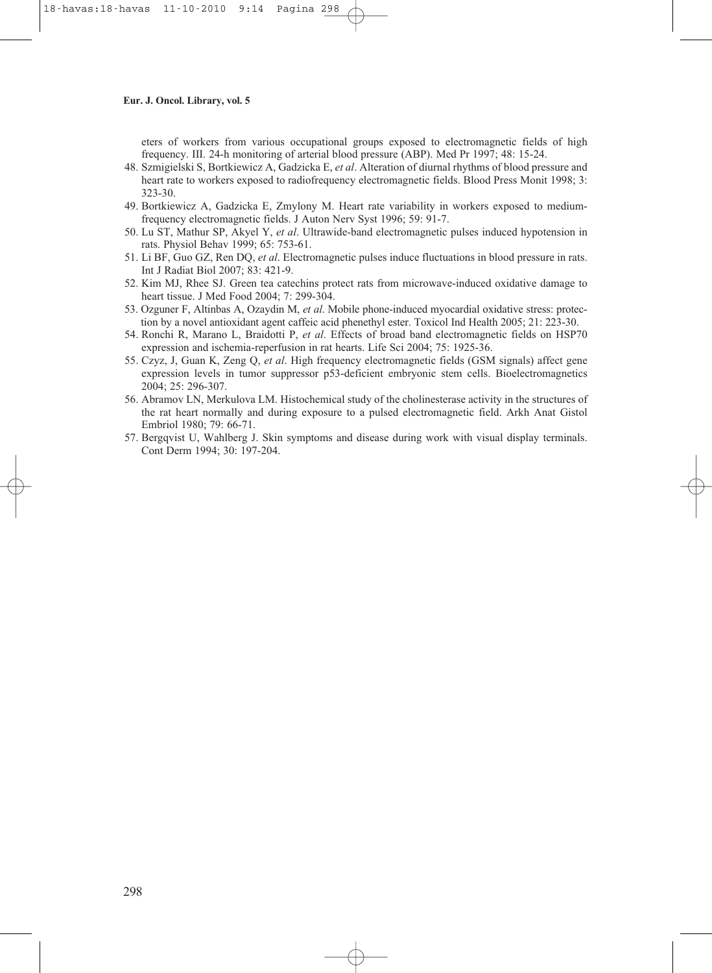eters of workers from various occupational groups exposed to electromagnetic fields of high frequency. III. 24-h monitoring of arterial blood pressure (ABP). Med Pr 1997; 48: 15-24.

- 48. Szmigielski S, Bortkiewicz A, Gadzicka E, *et al*. Alteration of diurnal rhythms of blood pressure and heart rate to workers exposed to radiofrequency electromagnetic fields. Blood Press Monit 1998; 3: 323-30.
- 49. Bortkiewicz A, Gadzicka E, Zmylony M. Heart rate variability in workers exposed to mediumfrequency electromagnetic fields. J Auton Nerv Syst 1996; 59: 91-7.
- 50. Lu ST, Mathur SP, Akyel Y, *et al*. Ultrawide-band electromagnetic pulses induced hypotension in rats. Physiol Behav 1999; 65: 753-61.
- 51. Li BF, Guo GZ, Ren DQ, *et al*. Electromagnetic pulses induce fluctuations in blood pressure in rats. Int J Radiat Biol 2007; 83: 421-9.
- 52. Kim MJ, Rhee SJ. Green tea catechins protect rats from microwave-induced oxidative damage to heart tissue. J Med Food 2004; 7: 299-304.
- 53. Ozguner F, Altinbas A, Ozaydin M, *et al*. Mobile phone-induced myocardial oxidative stress: protection by a novel antioxidant agent caffeic acid phenethyl ester. Toxicol Ind Health 2005; 21: 223-30.
- 54. Ronchi R, Marano L, Braidotti P, *et al*. Effects of broad band electromagnetic fields on HSP70 expression and ischemia-reperfusion in rat hearts. Life Sci 2004; 75: 1925-36.
- 55. Czyz, J, Guan K, Zeng Q, *et al*. High frequency electromagnetic fields (GSM signals) affect gene expression levels in tumor suppressor p53-deficient embryonic stem cells. Bioelectromagnetics 2004; 25: 296-307.
- 56. Abramov LN, Merkulova LM. Histochemical study of the cholinesterase activity in the structures of the rat heart normally and during exposure to a pulsed electromagnetic field. Arkh Anat Gistol Embriol 1980; 79: 66-71.
- 57. Bergqvist U, Wahlberg J. Skin symptoms and disease during work with visual display terminals. Cont Derm 1994; 30: 197-204.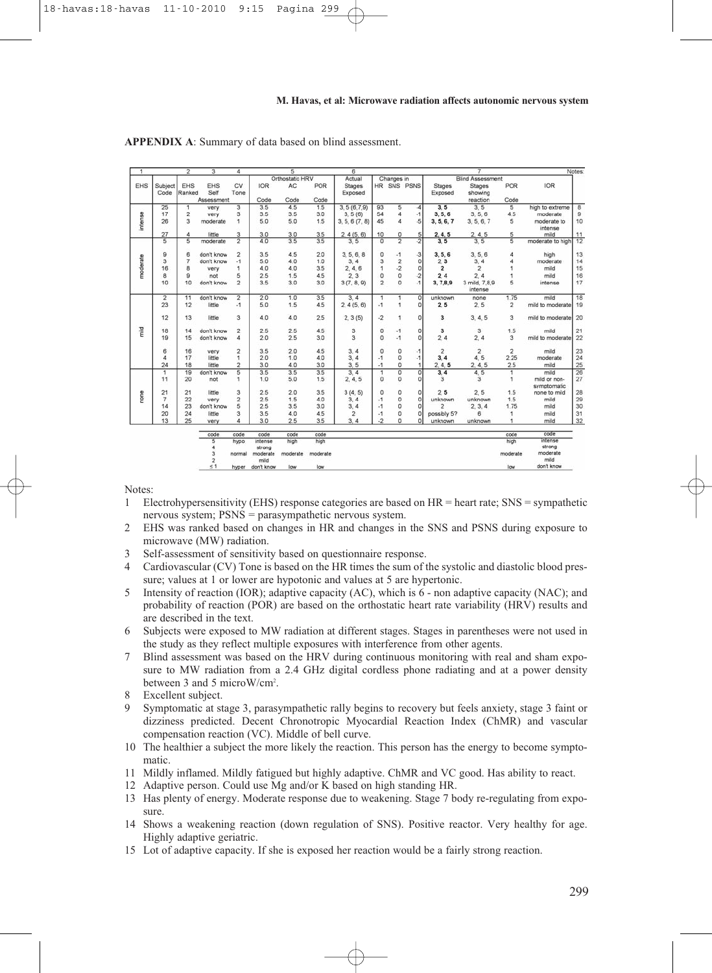| 1               |                | $\overline{2}$ | 3          | 4              |                    | 5        |          | 6                  |                |                |                |                         |                          |                         |                             | Notes: |
|-----------------|----------------|----------------|------------|----------------|--------------------|----------|----------|--------------------|----------------|----------------|----------------|-------------------------|--------------------------|-------------------------|-----------------------------|--------|
|                 |                |                |            |                | Orthostatic HRV    |          |          | Actual             |                | Changes in     |                |                         | <b>Blind Assessment</b>  |                         |                             |        |
| EHS             | Subject        | EHS            | <b>EHS</b> | CV             | <b>IOR</b>         | AC       | POR      | <b>Stages</b>      |                |                | HR SNS PSNS    | Stages                  | Stages                   | POR                     | <b>IOR</b>                  |        |
|                 | Code           | Ranked         | Self       | Tone           |                    |          |          | Exposed            |                |                |                | Exposed                 | showing                  |                         |                             |        |
|                 |                |                | Assessment |                | Code               | Code     | Code     |                    |                |                |                |                         | reaction                 | Code                    |                             |        |
|                 | 25             | $\mathbf{I}$   | very       | $\overline{3}$ | 3.5                | 4.5      | 1.5      | 3, 5(6, 7, 9)      | 93             | 5              | $-4$           | 3, 5                    | 3.5                      | 5                       | high to extreme             | 8      |
|                 | 17             | $\overline{2}$ | very       | 3              | 3.5                | 3.5      | 3.0      | 3.5(6)             | 54             | $\overline{a}$ | $-1$           | 3, 5, 6                 | 3, 5, 6                  | 4.5                     | moderate                    | 9      |
| ntense          | 26             | 3              | moderate   | 1              | 5.0                | 5.0      | 1.5      | $3, 5, 6$ $(7, 8)$ | 45             | $\overline{4}$ | $-5$           | 3, 5, 6, 7              | 3, 5, 6, 7               | 5                       | moderate to<br>intense      | 10     |
|                 | 27             | 4              | little     | 3              | 3.0                | 3.0      | 3.5      | 2, 4(5, 6)         | 10             | 0              | 5              | 2, 4, 5                 | 2, 4, 5                  | 5                       | mild                        | 11     |
|                 | $\overline{5}$ | $\overline{5}$ | moderate   | $\overline{2}$ | 4.0                | 3.5      | 3.5      | 3.5                | $\overline{0}$ | $\overline{2}$ | $-2$           | 3, 5                    | 3.5                      | $\overline{5}$          | moderate to high            | 12     |
|                 | 9              | 6              | don't know | $\overline{2}$ | 3.5                | 4.5      | 2.0      | 3, 5, 6, 8         | 0              | $-1$           | $-3$           | 3, 5, 6                 | 3, 5, 6                  | 4                       | high                        | 13     |
|                 | 3              | 7              | don't know | $\cdot$ 1      | 5.0                | 4.0      | 1.0      | 3.4                | 3              |                | $\circ$        | 2, 3                    | 3.4                      | 4                       | moderate                    | 14     |
|                 | 16             | 8              | very       | 1              | 4.0                | 4.0      | 3.5      | 2, 4, 6            |                | $\frac{2}{2}$  | $\circ$        | $\overline{\mathbf{2}}$ | $\overline{2}$           |                         | mild                        | 15     |
| moderate        | 8              | 9              | not        | 5              | 2.5                | 1.5      | 4.5      | 2.3                | Ò              |                | $\cdot$ 2      | 2, 4                    | 2.4                      |                         | mild                        | 16     |
|                 | 10             | 10             | don't know | $\overline{2}$ | 3.5                | 3.0      | 3.0      | 3(7, 8, 9)         | $\overline{2}$ |                | $\cdot$ 1      | 3, 7, 8, 9              | 3 mild, 7,8,9<br>intense | 5                       | intense                     | 17     |
|                 | $\overline{2}$ | 11             | don't know | $\overline{2}$ | 20                 | 1.0      | 3.5      | 3.4                | 1              | 1              | o              | unknown                 | none                     | 1.75                    | mild                        | 18     |
|                 | 23             | 12             | little     | $-1$           | 5.0                | 1.5      | 4.5      | 2, 4(5, 6)         | $\cdot$ 1      | 1              | $\circ$        | 2, 5                    | 2, 5                     | $\overline{\mathbf{2}}$ | mild to moderate 19         |        |
|                 | 12             | 13             | little     | 3              | 4.0                | 4.0      | 2.5      | 2, 3(5)            | $-2$           | 1              | O              | 3                       | 3, 4, 5                  | 3                       | mild to moderate 20         |        |
| T <sub>il</sub> | 18             | 14             | don't know | $\overline{2}$ | 2.5                | 2.5      | 4.5      | 3                  | 0              | $-1$           | o              | 3                       | 3                        | 1.5                     | mild                        | 21     |
|                 | 19             | 15             | don't know | 4              | 20                 | 25       | 3.0      | 3                  | $\circ$        | $-1$           | $\circ$        | 2.4                     | 2.4                      | 3                       | mild to moderate            | 22     |
|                 | 6              | 16             | very       | $\overline{2}$ | 3.5                | 20       | 4.5      | 3.4                | $\Omega$       | 0              | $-1$           | $\overline{c}$          | $\overline{2}$           | $\overline{2}$          | mild                        | 23     |
|                 | 4              | 17             | little     | 1              | 20                 | 1.0      | 4.0      | 3.4                | $-1$           | o              | $-1$           | 3, 4                    | 4.5                      | 2.25                    | moderate                    | 24     |
|                 | 24             | 18             | little     | $\overline{2}$ | 3.0                | 4.0      | 3.0      | 3.5                | $\cdot$ 1      | o              | 1              | 2, 4, 5                 | 2, 4, 5                  | 2.5                     | mild                        | 25     |
|                 | 1              | 19             | don't know | 5              | 3.5                | 3.5      | 3.5      | 3.4                | 1              | o              | $\overline{0}$ | 3.4                     | 4.5                      | 1                       | mild                        | 26     |
|                 | 11             | 20             | not        | 1              | 1.0                | 5.0      | 1.5      | 2, 4, 5            | $\Omega$       | ö              | o              | $\overline{\mathbf{3}}$ | 3                        | 1                       | mild or non-<br>symptomatic | 27     |
|                 | 21             | 21             | little     | 3              | 25                 | 2.0      | 3.5      | 3(4, 5)            | o              | 0              | 0              | 2.5                     | 2.5                      | 1.5                     | none to mild                | 28     |
| none            | 7              | 22             | very       | $\overline{a}$ | 25                 | 1.5      | 40       | 3.4                | $\mathcal{A}$  | o              | ö              | unknown                 | unknown                  | 1.5                     | mild                        | 29     |
|                 | 14             | 23             | don't know | 5              | 2.5                | 3.5      | 3.0      | 3.4                | $\cdot$ 1      | o              | O              | $\overline{2}$          | 2, 3, 4                  | 1.75                    | mild                        | 30     |
|                 | 20             | 24             | little     | 3              | 3.5                | 4.0      | 4.5      | $\overline{2}$     | $\cdot$ 1      | o              | $\circ$        | possibly 5?             | 6                        | 1                       | mild                        | 31     |
|                 | 13             | 25             | very       | 4              | 3.0                | 2.5      | 3.5      | 3.4                | $-2$           | o              | $\Omega$       | unknown                 | unknown                  | 1                       | mild                        | 32     |
|                 |                |                | code       | code           | code               | code     | code     |                    |                |                |                |                         |                          | code                    | code                        |        |
|                 |                |                | 5          | hypo           | intense            | high     | high     |                    |                |                |                |                         |                          | high                    | intense                     |        |
|                 |                |                |            |                | strong             |          |          |                    |                |                |                |                         |                          |                         | strong                      |        |
|                 |                |                | <b>h</b>   | normal         | moderate           | moderate | moderate |                    |                |                |                |                         |                          | moderate                | moderate<br>mild            |        |
|                 |                |                | 51         | hyper          | mild<br>don't know | low      | low      |                    |                |                |                |                         |                          | low                     | don't know                  |        |

**APPENDIX A**: Summary of data based on blind assessment.

Notes:

- 1 Electrohypersensitivity (EHS) response categories are based on HR = heart rate; SNS = sympathetic nervous system; PSNS = parasympathetic nervous system.
- 2 EHS was ranked based on changes in HR and changes in the SNS and PSNS during exposure to microwave (MW) radiation.
- 3 Self-assessment of sensitivity based on questionnaire response.
- 4 Cardiovascular (CV) Tone is based on the HR times the sum of the systolic and diastolic blood pressure; values at 1 or lower are hypotonic and values at 5 are hypertonic.
- 5 Intensity of reaction (IOR); adaptive capacity (AC), which is 6 non adaptive capacity (NAC); and probability of reaction (POR) are based on the orthostatic heart rate variability (HRV) results and are described in the text.
- 6 Subjects were exposed to MW radiation at different stages. Stages in parentheses were not used in the study as they reflect multiple exposures with interference from other agents.
- 7 Blind assessment was based on the HRV during continuous monitoring with real and sham exposure to MW radiation from a 2.4 GHz digital cordless phone radiating and at a power density between 3 and 5 microW/cm2 .
- 8 Excellent subject.
- 9 Symptomatic at stage 3, parasympathetic rally begins to recovery but feels anxiety, stage 3 faint or dizziness predicted. Decent Chronotropic Myocardial Reaction Index (ChMR) and vascular compensation reaction (VC). Middle of bell curve.
- 10 The healthier a subject the more likely the reaction. This person has the energy to become symptomatic.
- 11 Mildly inflamed. Mildly fatigued but highly adaptive. ChMR and VC good. Has ability to react.
- 12 Adaptive person. Could use Mg and/or K based on high standing HR.
- 13 Has plenty of energy. Moderate response due to weakening. Stage 7 body re-regulating from exposure.
- 14 Shows a weakening reaction (down regulation of SNS). Positive reactor. Very healthy for age. Highly adaptive geriatric.
- 15 Lot of adaptive capacity. If she is exposed her reaction would be a fairly strong reaction.